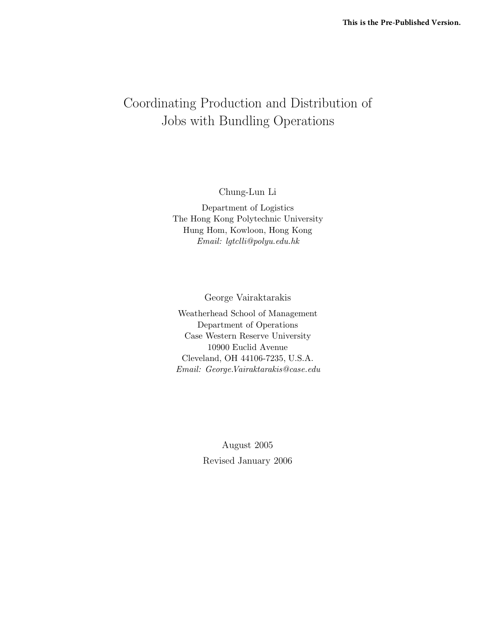# Coordinating Production and Distribution of Jobs with Bundling Operations

Chung-Lun Li

Department of Logistics The Hong Kong Polytechnic University Hung Hom, Kowloon, Hong Kong Email: lgtclli@polyu.edu.hk

George Vairaktarakis

Weatherhead School of Management Department of Operations Case Western Reserve University 10900 Euclid Avenue Cleveland, OH 44106-7235, U.S.A. Email: George.Vairaktarakis@case.edu

> August 2005 Revised January 2006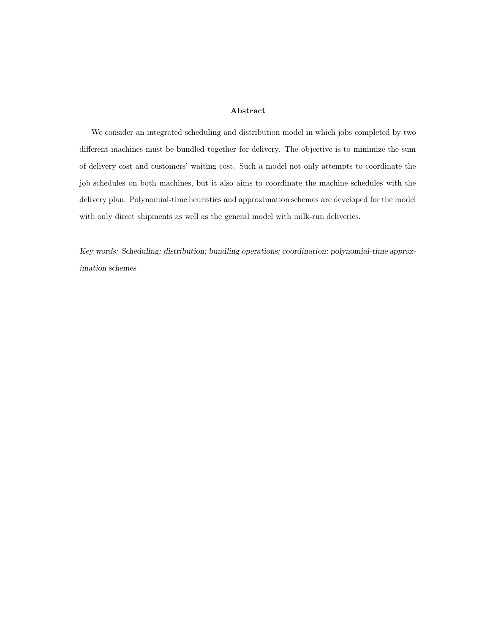#### Abstract

We consider an integrated scheduling and distribution model in which jobs completed by two different machines must be bundled together for delivery. The objective is to minimize the sum of delivery cost and customers' waiting cost. Such a model not only attempts to coordinate the job schedules on both machines, but it also aims to coordinate the machine schedules with the delivery plan. Polynomial-time heuristics and approximation schemes are developed for the model with only direct shipments as well as the general model with milk-run deliveries.

Key words: Scheduling; distribution; bundling operations; coordination; polynomial-time approximation schemes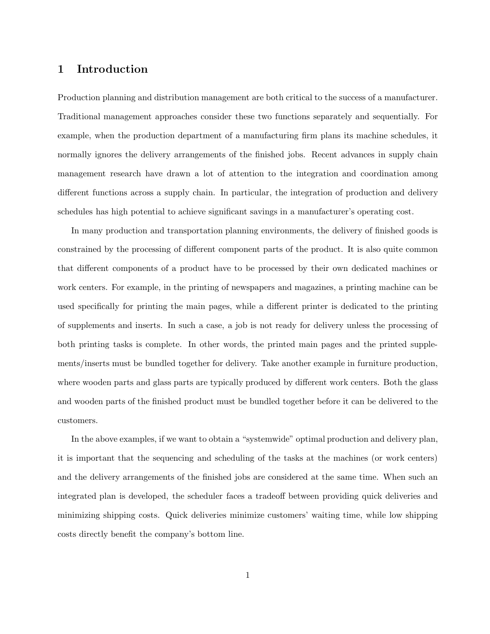## 1 Introduction

Production planning and distribution management are both critical to the success of a manufacturer. Traditional management approaches consider these two functions separately and sequentially. For example, when the production department of a manufacturing firm plans its machine schedules, it normally ignores the delivery arrangements of the finished jobs. Recent advances in supply chain management research have drawn a lot of attention to the integration and coordination among different functions across a supply chain. In particular, the integration of production and delivery schedules has high potential to achieve significant savings in a manufacturer's operating cost.

In many production and transportation planning environments, the delivery of finished goods is constrained by the processing of different component parts of the product. It is also quite common that different components of a product have to be processed by their own dedicated machines or work centers. For example, in the printing of newspapers and magazines, a printing machine can be used specifically for printing the main pages, while a different printer is dedicated to the printing of supplements and inserts. In such a case, a job is not ready for delivery unless the processing of both printing tasks is complete. In other words, the printed main pages and the printed supplements/inserts must be bundled together for delivery. Take another example in furniture production, where wooden parts and glass parts are typically produced by different work centers. Both the glass and wooden parts of the finished product must be bundled together before it can be delivered to the customers.

In the above examples, if we want to obtain a "systemwide" optimal production and delivery plan, it is important that the sequencing and scheduling of the tasks at the machines (or work centers) and the delivery arrangements of the finished jobs are considered at the same time. When such an integrated plan is developed, the scheduler faces a tradeoff between providing quick deliveries and minimizing shipping costs. Quick deliveries minimize customers' waiting time, while low shipping costs directly benefit the company's bottom line.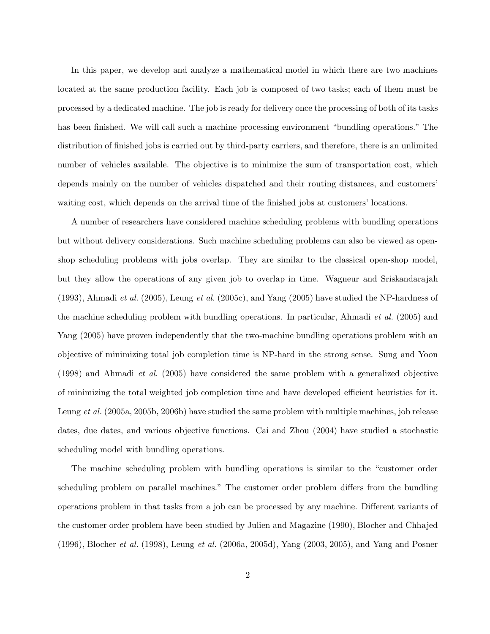In this paper, we develop and analyze a mathematical model in which there are two machines located at the same production facility. Each job is composed of two tasks; each of them must be processed by a dedicated machine. The job is ready for delivery once the processing of both of its tasks has been finished. We will call such a machine processing environment "bundling operations." The distribution of finished jobs is carried out by third-party carriers, and therefore, there is an unlimited number of vehicles available. The objective is to minimize the sum of transportation cost, which depends mainly on the number of vehicles dispatched and their routing distances, and customers' waiting cost, which depends on the arrival time of the finished jobs at customers' locations.

A number of researchers have considered machine scheduling problems with bundling operations but without delivery considerations. Such machine scheduling problems can also be viewed as openshop scheduling problems with jobs overlap. They are similar to the classical open-shop model, but they allow the operations of any given job to overlap in time. Wagneur and Sriskandarajah (1993), Ahmadi et al. (2005), Leung et al. (2005c), and Yang (2005) have studied the NP-hardness of the machine scheduling problem with bundling operations. In particular, Ahmadi et al. (2005) and Yang (2005) have proven independently that the two-machine bundling operations problem with an objective of minimizing total job completion time is NP-hard in the strong sense. Sung and Yoon (1998) and Ahmadi et al. (2005) have considered the same problem with a generalized objective of minimizing the total weighted job completion time and have developed efficient heuristics for it. Leung et al. (2005a, 2005b, 2006b) have studied the same problem with multiple machines, job release dates, due dates, and various objective functions. Cai and Zhou (2004) have studied a stochastic scheduling model with bundling operations.

The machine scheduling problem with bundling operations is similar to the "customer order scheduling problem on parallel machines." The customer order problem differs from the bundling operations problem in that tasks from a job can be processed by any machine. Different variants of the customer order problem have been studied by Julien and Magazine (1990), Blocher and Chhajed (1996), Blocher et al. (1998), Leung et al. (2006a, 2005d), Yang (2003, 2005), and Yang and Posner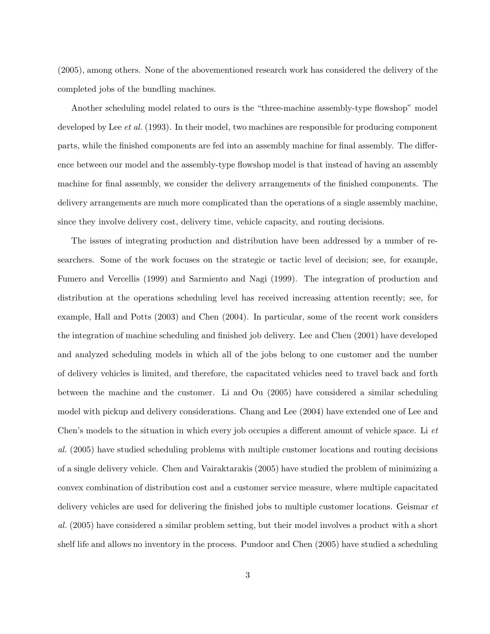(2005), among others. None of the abovementioned research work has considered the delivery of the completed jobs of the bundling machines.

Another scheduling model related to ours is the "three-machine assembly-type flowshop" model developed by Lee *et al.* (1993). In their model, two machines are responsible for producing component parts, while the finished components are fed into an assembly machine for final assembly. The difference between our model and the assembly-type flowshop model is that instead of having an assembly machine for final assembly, we consider the delivery arrangements of the finished components. The delivery arrangements are much more complicated than the operations of a single assembly machine, since they involve delivery cost, delivery time, vehicle capacity, and routing decisions.

The issues of integrating production and distribution have been addressed by a number of researchers. Some of the work focuses on the strategic or tactic level of decision; see, for example, Fumero and Vercellis (1999) and Sarmiento and Nagi (1999). The integration of production and distribution at the operations scheduling level has received increasing attention recently; see, for example, Hall and Potts (2003) and Chen (2004). In particular, some of the recent work considers the integration of machine scheduling and finished job delivery. Lee and Chen (2001) have developed and analyzed scheduling models in which all of the jobs belong to one customer and the number of delivery vehicles is limited, and therefore, the capacitated vehicles need to travel back and forth between the machine and the customer. Li and Ou (2005) have considered a similar scheduling model with pickup and delivery considerations. Chang and Lee (2004) have extended one of Lee and Chen's models to the situation in which every job occupies a different amount of vehicle space. Li et al. (2005) have studied scheduling problems with multiple customer locations and routing decisions of a single delivery vehicle. Chen and Vairaktarakis (2005) have studied the problem of minimizing a convex combination of distribution cost and a customer service measure, where multiple capacitated delivery vehicles are used for delivering the finished jobs to multiple customer locations. Geismar et al. (2005) have considered a similar problem setting, but their model involves a product with a short shelf life and allows no inventory in the process. Pundoor and Chen (2005) have studied a scheduling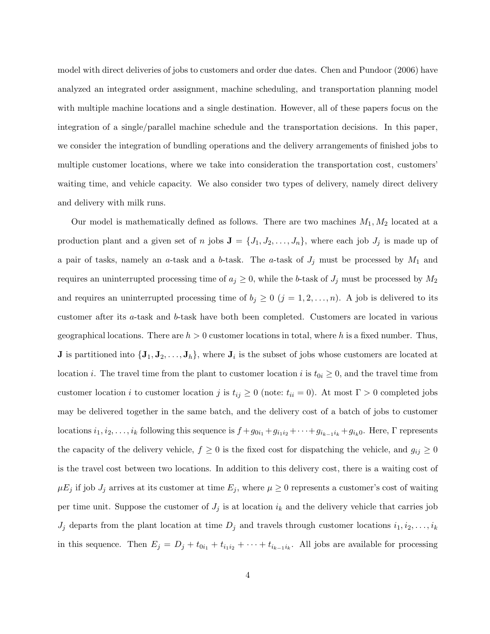model with direct deliveries of jobs to customers and order due dates. Chen and Pundoor (2006) have analyzed an integrated order assignment, machine scheduling, and transportation planning model with multiple machine locations and a single destination. However, all of these papers focus on the integration of a single/parallel machine schedule and the transportation decisions. In this paper, we consider the integration of bundling operations and the delivery arrangements of finished jobs to multiple customer locations, where we take into consideration the transportation cost, customers' waiting time, and vehicle capacity. We also consider two types of delivery, namely direct delivery and delivery with milk runs.

Our model is mathematically defined as follows. There are two machines  $M_1, M_2$  located at a production plant and a given set of n jobs  $\mathbf{J} = \{J_1, J_2, \ldots, J_n\}$ , where each job  $J_j$  is made up of a pair of tasks, namely an a-task and a b-task. The a-task of  $J_j$  must be processed by  $M_1$  and requires an uninterrupted processing time of  $a_j \geq 0$ , while the b-task of  $J_j$  must be processed by  $M_2$ and requires an uninterrupted processing time of  $b_j \geq 0$   $(j = 1, 2, ..., n)$ . A job is delivered to its customer after its a-task and b-task have both been completed. Customers are located in various geographical locations. There are  $h > 0$  customer locations in total, where h is a fixed number. Thus, **J** is partitioned into  $\{\mathbf{J}_1, \mathbf{J}_2, \ldots, \mathbf{J}_h\}$ , where  $\mathbf{J}_i$  is the subset of jobs whose customers are located at location *i*. The travel time from the plant to customer location *i* is  $t_{0i} \geq 0$ , and the travel time from customer location i to customer location j is  $t_{ij} \geq 0$  (note:  $t_{ii} = 0$ ). At most  $\Gamma > 0$  completed jobs may be delivered together in the same batch, and the delivery cost of a batch of jobs to customer locations  $i_1, i_2, \ldots, i_k$  following this sequence is  $f + g_{0i_1} + g_{i_1i_2} + \cdots + g_{i_{k-1}i_k} + g_{i_k0}$ . Here, Γ represents the capacity of the delivery vehicle,  $f \geq 0$  is the fixed cost for dispatching the vehicle, and  $g_{ij} \geq 0$ is the travel cost between two locations. In addition to this delivery cost, there is a waiting cost of  $\mu E_j$  if job  $J_j$  arrives at its customer at time  $E_j$ , where  $\mu \geq 0$  represents a customer's cost of waiting per time unit. Suppose the customer of  $J_j$  is at location  $i_k$  and the delivery vehicle that carries job  $J_j$  departs from the plant location at time  $D_j$  and travels through customer locations  $i_1, i_2, \ldots, i_k$ in this sequence. Then  $E_j = D_j + t_{0i_1} + t_{i_1i_2} + \cdots + t_{i_{k-1}i_k}$ . All jobs are available for processing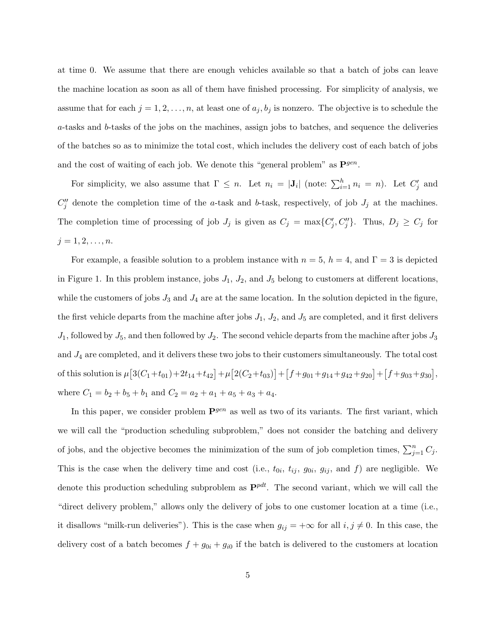at time 0. We assume that there are enough vehicles available so that a batch of jobs can leave the machine location as soon as all of them have finished processing. For simplicity of analysis, we assume that for each  $j = 1, 2, \ldots, n$ , at least one of  $a_j, b_j$  is nonzero. The objective is to schedule the a-tasks and b-tasks of the jobs on the machines, assign jobs to batches, and sequence the deliveries of the batches so as to minimize the total cost, which includes the delivery cost of each batch of jobs and the cost of waiting of each job. We denote this "general problem" as  $\mathbf{P}^{gen}$ .

For simplicity, we also assume that  $\Gamma \leq n$ . Let  $n_i = |\mathbf{J}_i|$  (note:  $\sum_{i=1}^h n_i = n$ ). Let  $C'_j$  and  $C''_j$  denote the completion time of the a-task and b-task, respectively, of job  $J_j$  at the machines. The completion time of processing of job  $J_j$  is given as  $C_j = \max\{C'_j, C''_j\}$ . Thus,  $D_j \ge C_j$  for  $j = 1, 2, \ldots, n$ .

For example, a feasible solution to a problem instance with  $n = 5$ ,  $h = 4$ , and  $\Gamma = 3$  is depicted in Figure 1. In this problem instance, jobs  $J_1$ ,  $J_2$ , and  $J_5$  belong to customers at different locations, while the customers of jobs  $J_3$  and  $J_4$  are at the same location. In the solution depicted in the figure, the first vehicle departs from the machine after jobs  $J_1$ ,  $J_2$ , and  $J_5$  are completed, and it first delivers  $J_1$ , followed by  $J_5$ , and then followed by  $J_2$ . The second vehicle departs from the machine after jobs  $J_3$ and  $J_4$  are completed, and it delivers these two jobs to their customers simultaneously. The total cost of this solution is  $\mu [3(C_1+t_{01})+2t_{14}+t_{42}]+\mu [2(C_2+t_{03})]+[f+g_{01}+g_{14}+g_{42}+g_{20}]+[f+g_{03}+g_{30}],$ where  $C_1 = b_2 + b_5 + b_1$  and  $C_2 = a_2 + a_1 + a_5 + a_3 + a_4$ .

In this paper, we consider problem  $\mathbf{P}^{gen}$  as well as two of its variants. The first variant, which we will call the "production scheduling subproblem," does not consider the batching and delivery of jobs, and the objective becomes the minimization of the sum of job completion times,  $\sum_{j=1}^{n} C_j$ . This is the case when the delivery time and cost (i.e.,  $t_{0i}$ ,  $t_{ij}$ ,  $g_{0i}$ ,  $g_{ij}$ , and f) are negligible. We denote this production scheduling subproblem as  $\mathbf{P}^{pdt}$ . The second variant, which we will call the "direct delivery problem," allows only the delivery of jobs to one customer location at a time (i.e., it disallows "milk-run deliveries"). This is the case when  $g_{ij} = +\infty$  for all  $i, j \neq 0$ . In this case, the delivery cost of a batch becomes  $f + g_{0i} + g_{i0}$  if the batch is delivered to the customers at location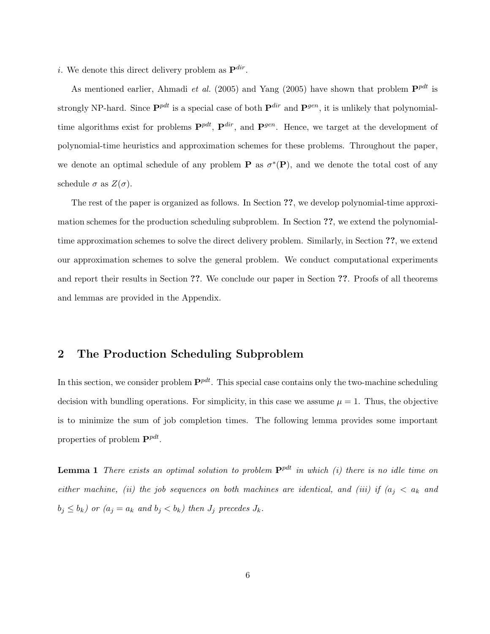*i*. We denote this direct delivery problem as  $\mathbf{P}^{dir}$ .

As mentioned earlier, Ahmadi et al. (2005) and Yang (2005) have shown that problem  $\mathbf{P}^{pdt}$  is strongly NP-hard. Since  $\mathbf{P}^{pdt}$  is a special case of both  $\mathbf{P}^{dir}$  and  $\mathbf{P}^{gen}$ , it is unlikely that polynomialtime algorithms exist for problems  $\mathbf{P}^{pdt}$ ,  $\mathbf{P}^{dir}$ , and  $\mathbf{P}^{gen}$ . Hence, we target at the development of polynomial-time heuristics and approximation schemes for these problems. Throughout the paper, we denote an optimal schedule of any problem **P** as  $\sigma^*(P)$ , and we denote the total cost of any schedule  $\sigma$  as  $Z(\sigma)$ .

The rest of the paper is organized as follows. In Section ??, we develop polynomial-time approximation schemes for the production scheduling subproblem. In Section ??, we extend the polynomialtime approximation schemes to solve the direct delivery problem. Similarly, in Section ??, we extend our approximation schemes to solve the general problem. We conduct computational experiments and report their results in Section ??. We conclude our paper in Section ??. Proofs of all theorems and lemmas are provided in the Appendix.

## 2 The Production Scheduling Subproblem

In this section, we consider problem  $\mathbf{P}^{pd}$ . This special case contains only the two-machine scheduling decision with bundling operations. For simplicity, in this case we assume  $\mu = 1$ . Thus, the objective is to minimize the sum of job completion times. The following lemma provides some important properties of problem  $\mathbf{P}^{pdt}$ .

**Lemma 1** There exists an optimal solution to problem  $\mathbf{P}^{pdt}$  in which (i) there is no idle time on either machine, (ii) the job sequences on both machines are identical, and (iii) if  $(a_i < a_k$  and  $b_j \leq b_k$ ) or  $(a_j = a_k \text{ and } b_j < b_k)$  then  $J_j$  precedes  $J_k$ .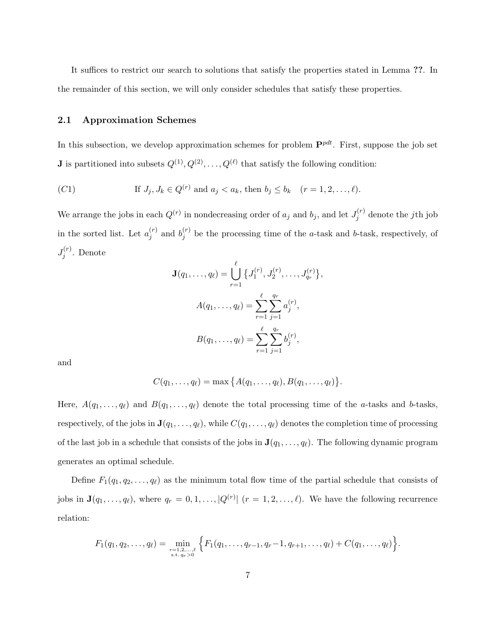It suffices to restrict our search to solutions that satisfy the properties stated in Lemma ??. In the remainder of this section, we will only consider schedules that satisfy these properties.

#### 2.1 Approximation Schemes

In this subsection, we develop approximation schemes for problem  $\mathbf{P}^{pdt}$ . First, suppose the job set **J** is partitioned into subsets  $Q^{(1)}, Q^{(2)}, \ldots, Q^{(\ell)}$  that satisfy the following condition:

(C1) If 
$$
J_j, J_k \in Q^{(r)}
$$
 and  $a_j < a_k$ , then  $b_j \le b_k$   $(r = 1, 2, ..., \ell)$ .

We arrange the jobs in each  $Q^{(r)}$  in nondecreasing order of  $a_j$  and  $b_j$ , and let  $J_j^{(r)}$  $j^{(r)}$  denote the *j*th job in the sorted list. Let  $a_i^{(r)}$  $j^{(r)}$  and  $b_j^{(r)}$  $j'$  be the processing time of the *a*-task and *b*-task, respectively, of  $J_i^{(r)}$  $j^{\left(r\right)}$ . Denote

$$
\mathbf{J}(q_1, \ldots, q_\ell) = \bigcup_{r=1}^{\ell} \left\{ J_1^{(r)}, J_2^{(r)}, \ldots, J_{q_r}^{(r)} \right\},
$$

$$
A(q_1, \ldots, q_\ell) = \sum_{r=1}^{\ell} \sum_{j=1}^{q_r} a_j^{(r)},
$$

$$
B(q_1, \ldots, q_\ell) = \sum_{r=1}^{\ell} \sum_{j=1}^{q_r} b_j^{(r)},
$$

and

$$
C(q_1,\ldots,q_\ell)=\max\big\{A(q_1,\ldots,q_\ell),B(q_1,\ldots,q_\ell)\big\}.
$$

Here,  $A(q_1, \ldots, q_\ell)$  and  $B(q_1, \ldots, q_\ell)$  denote the total processing time of the a-tasks and b-tasks, respectively, of the jobs in  $\mathbf{J}(q_1, \ldots, q_\ell)$ , while  $C(q_1, \ldots, q_\ell)$  denotes the completion time of processing of the last job in a schedule that consists of the jobs in  $J(q_1, \ldots, q_\ell)$ . The following dynamic program generates an optimal schedule.

Define  $F_1(q_1, q_2, \ldots, q_\ell)$  as the minimum total flow time of the partial schedule that consists of jobs in  $\mathbf{J}(q_1,\ldots,q_\ell)$ , where  $q_r = 0,1,\ldots,|Q^{(r)}|$   $(r = 1,2,\ldots,\ell)$ . We have the following recurrence relation:

$$
F_1(q_1, q_2, \ldots, q_\ell) = \min_{\substack{r=1, 2, \ldots, \ell \\ \text{s.t. } q_r > 0}} \left\{ F_1(q_1, \ldots, q_{r-1}, q_r-1, q_{r+1}, \ldots, q_\ell) + C(q_1, \ldots, q_\ell) \right\}.
$$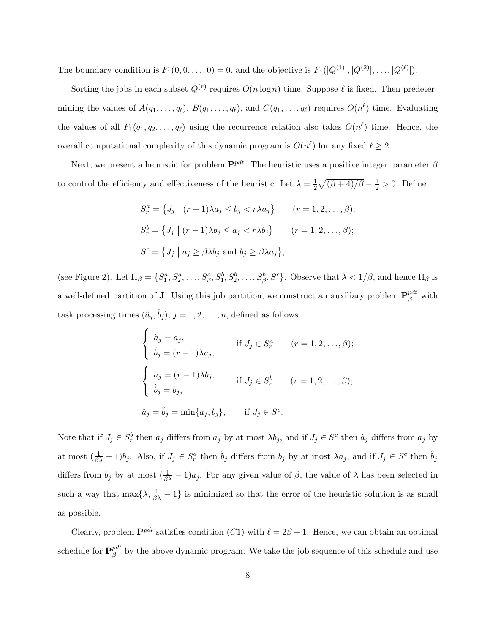The boundary condition is  $F_1(0,0,\ldots,0) = 0$ , and the objective is  $F_1(|Q^{(1)}|, |Q^{(2)}|, \ldots, |Q^{(\ell)}|)$ .

Sorting the jobs in each subset  $Q^{(r)}$  requires  $O(n \log n)$  time. Suppose  $\ell$  is fixed. Then predetermining the values of  $A(q_1, \ldots, q_\ell), B(q_1, \ldots, q_\ell)$ , and  $C(q_1, \ldots, q_\ell)$  requires  $O(n^\ell)$  time. Evaluating the values of all  $F_1(q_1, q_2, \ldots, q_\ell)$  using the recurrence relation also takes  $O(n^{\ell})$  time. Hence, the overall computational complexity of this dynamic program is  $O(n^{\ell})$  for any fixed  $\ell \geq 2$ .

Next, we present a heuristic for problem  $\mathbf{P}^{pdt}$ . The heuristic uses a positive integer parameter  $\beta$ to control the efficiency and effectiveness of the heuristic. Let  $\lambda = \frac{1}{2}$  $\frac{1}{2}\sqrt{(\beta+4)/\beta}-\frac{1}{2}>0.$  Define:

$$
S_r^a = \{ J_j \mid (r-1)\lambda a_j \le b_j < r\lambda a_j \} \qquad (r = 1, 2, \dots, \beta);
$$
\n
$$
S_r^b = \{ J_j \mid (r-1)\lambda b_j \le a_j < r\lambda b_j \} \qquad (r = 1, 2, \dots, \beta);
$$
\n
$$
S^c = \{ J_j \mid a_j \ge \beta \lambda b_j \text{ and } b_j \ge \beta \lambda a_j \},
$$

(see Figure 2). Let  $\Pi_{\beta} = \{S_1^a, S_2^a, \ldots, S_{\beta}^a, S_1^b, S_2^b, \ldots, S_{\beta}^b, S^c\}$ . Observe that  $\lambda < 1/\beta$ , and hence  $\Pi_{\beta}$  is a well-defined partition of **J**. Using this job partition, we construct an auxiliary problem  $\mathbf{P}_{\beta}^{pdt}$  with task processing times  $(\hat{a}_j, \hat{b}_j), j = 1, 2, \ldots, n$ , defined as follows:

$$
\begin{cases}\n\hat{a}_j = a_j, & \text{if } J_j \in S_r^a \quad (r = 1, 2, ..., \beta); \\
\hat{b}_j = (r - 1)\lambda a_j, & \text{if } J_j \in S_r^b \quad (r = 1, 2, ..., \beta); \\
\hat{b}_j = b_j, & \text{if } J_j \in S_r^b \quad (r = 1, 2, ..., \beta); \\
\hat{a}_j = \hat{b}_j = \min\{a_j, b_j\}, & \text{if } J_j \in S^c.\n\end{cases}
$$

Note that if  $J_j \in S_r^b$  then  $\hat{a}_j$  differs from  $a_j$  by at most  $\lambda b_j$ , and if  $J_j \in S^c$  then  $\hat{a}_j$  differs from  $a_j$  by at most  $(\frac{1}{\beta\lambda} - 1)b_j$ . Also, if  $J_j \in S_r^a$  then  $\hat{b}_j$  differs from  $b_j$  by at most  $\lambda a_j$ , and if  $J_j \in S^c$  then  $\hat{b}_j$ differs from  $b_j$  by at most  $(\frac{1}{\beta \lambda} - 1)a_j$ . For any given value of  $\beta$ , the value of  $\lambda$  has been selected in such a way that  $\max\{\lambda, \frac{1}{\beta\lambda} - 1\}$  is minimized so that the error of the heuristic solution is as small as possible.

Clearly, problem  $\mathbf{P}^{pdt}$  satisfies condition  $(C1)$  with  $\ell = 2\beta + 1$ . Hence, we can obtain an optimal schedule for  $\mathbf{P}_{\beta}^{pdt}$  $\beta^{\mu a}$  by the above dynamic program. We take the job sequence of this schedule and use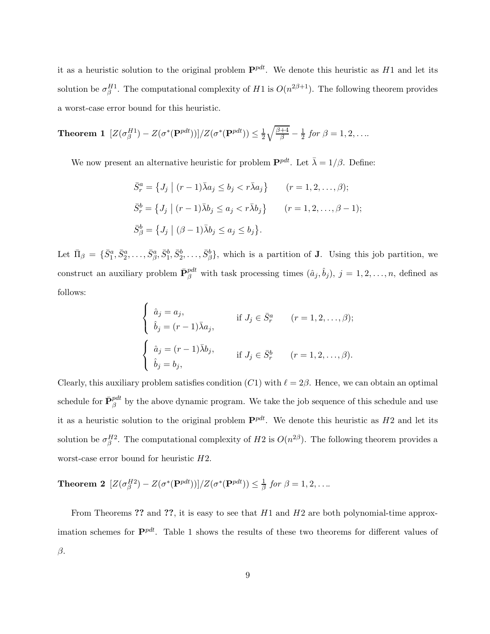it as a heuristic solution to the original problem  $\mathbf{P}^{pd}$ . We denote this heuristic as H1 and let its solution be  $\sigma_{\beta}^{H1}$ . The computational complexity of H1 is  $O(n^{2\beta+1})$ . The following theorem provides a worst-case error bound for this heuristic.

**Theorem 1** 
$$
[Z(\sigma_{\beta}^{H1}) - Z(\sigma^*(\mathbf{P}^{pdt}))]/Z(\sigma^*(\mathbf{P}^{pdt})) \leq \frac{1}{2}\sqrt{\frac{\beta+4}{\beta}} - \frac{1}{2} \text{ for } \beta = 1, 2, ...
$$

We now present an alternative heuristic for problem  $\mathbf{P}^{pd}$ . Let  $\bar{\lambda} = 1/\beta$ . Define:

$$
\bar{S}_r^a = \{ J_j \mid (r-1)\bar{\lambda}a_j \le b_j < r\bar{\lambda}a_j \} \qquad (r = 1, 2, \dots, \beta);
$$
\n
$$
\bar{S}_r^b = \{ J_j \mid (r-1)\bar{\lambda}b_j \le a_j < r\bar{\lambda}b_j \} \qquad (r = 1, 2, \dots, \beta - 1);
$$
\n
$$
\bar{S}_\beta^b = \{ J_j \mid (\beta - 1)\bar{\lambda}b_j \le a_j \le b_j \}.
$$

Let  $\Pi_{\beta} = \{\bar{S}_{1}^{a}, \bar{S}_{2}^{a}, \ldots, \bar{S}_{\beta}^{a}, \bar{S}_{1}^{b}, \bar{S}_{2}^{b}, \ldots, \bar{S}_{\beta}^{b}\}$ , which is a partition of **J**. Using this job partition, we construct an auxiliary problem  $\bar{\mathbf{P}}_{\beta}^{pdt}$  with task processing times  $(\hat{a}_j, \hat{b}_j), j = 1, 2, \ldots, n$ , defined as follows:

$$
\begin{cases}\n\hat{a}_j = a_j, & \text{if } J_j \in \bar{S}_r^a \quad (r = 1, 2, \dots, \beta); \\
\hat{b}_j = (r - 1)\bar{\lambda}a_j, & \text{if } J_j \in \bar{S}_r^b \quad (r = 1, 2, \dots, \beta).\n\end{cases}
$$
\n
$$
\begin{cases}\n\hat{a}_j = (r - 1)\bar{\lambda}b_j, & \text{if } J_j \in \bar{S}_r^b \quad (r = 1, 2, \dots, \beta).\n\end{cases}
$$

Clearly, this auxiliary problem satisfies condition  $(C1)$  with  $\ell = 2\beta$ . Hence, we can obtain an optimal schedule for  $\bar{\mathbf{P}}_{\beta}^{pdt}$  by the above dynamic program. We take the job sequence of this schedule and use it as a heuristic solution to the original problem  $\mathbf{P}^{pd}$ . We denote this heuristic as H2 and let its solution be  $\sigma_{\beta}^{H2}$ . The computational complexity of H2 is  $O(n^{2\beta})$ . The following theorem provides a worst-case error bound for heuristic H2.

**Theorem 2**  $[Z(\sigma_{\beta}^{H2}) - Z(\sigma^*(\mathbf{P}^{pdt}))]/Z(\sigma^*(\mathbf{P}^{pdt})) \leq \frac{1}{\beta}$  for  $\beta = 1, 2, ...$ 

From Theorems ?? and ??, it is easy to see that  $H1$  and  $H2$  are both polynomial-time approximation schemes for  $\mathbf{P}^{pd}$ . Table 1 shows the results of these two theorems for different values of β.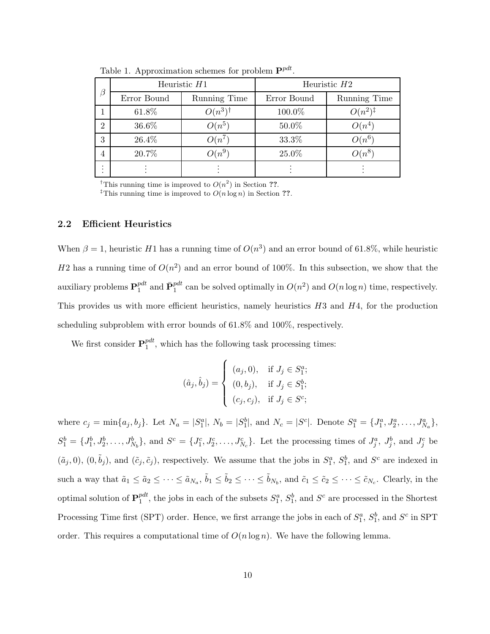| $\beta$        |             | Heuristic $H1$   | Heuristic $H2$ |                     |  |  |
|----------------|-------------|------------------|----------------|---------------------|--|--|
|                | Error Bound | Running Time     | Error Bound    | Running Time        |  |  |
|                | 61.8%       | $O(n^3)^\dagger$ | 100.0%         | $O(n^2)^{\ddagger}$ |  |  |
| $\overline{2}$ | 36.6%       | $O(n^5)$         | 50.0%          | $O(n^4)$            |  |  |
| 3              | 26.4%       | $O(n^7)$         | 33.3%          | $O(n^6)$            |  |  |
| $\overline{4}$ | 20.7%       | $O(n^9)$         | 25.0%          | $O(n^8)$            |  |  |
|                |             |                  |                |                     |  |  |

Table 1. Approximation schemes for problem  $\mathbf{P}^{pdt}$ .

<sup>†</sup>This running time is improved to  $O(n^2)$  in Section ??.

<sup>‡</sup>This running time is improved to  $O(n \log n)$  in Section ??.

### 2.2 Efficient Heuristics

When  $\beta = 1$ , heuristic H1 has a running time of  $O(n^3)$  and an error bound of 61.8%, while heuristic H2 has a running time of  $O(n^2)$  and an error bound of 100%. In this subsection, we show that the auxiliary problems  $\mathbf{P}_1^{pdt}$  $P_1^{pt}$  and  $\bar{\mathbf{P}}_1^{pdt}$  can be solved optimally in  $O(n^2)$  and  $O(n \log n)$  time, respectively. This provides us with more efficient heuristics, namely heuristics  $H3$  and  $H4$ , for the production scheduling subproblem with error bounds of 61.8% and 100%, respectively.

We first consider  $\mathbf{P}_1^{pdt}$  $_{1}^{p\mu\nu}$ , which has the following task processing times:

$$
(\hat{a}_j, \hat{b}_j) = \begin{cases} (a_j, 0), & \text{if } J_j \in S_1^a; \\ (0, b_j), & \text{if } J_j \in S_1^b; \\ (c_j, c_j), & \text{if } J_j \in S^c; \end{cases}
$$

where  $c_j = \min\{a_j, b_j\}$ . Let  $N_a = |S_1^a|$ ,  $N_b = |S_1^b|$ , and  $N_c = |S^c|$ . Denote  $S_1^a = \{J_1^a, J_2^a, \ldots, J_{N_a}^a\}$ ,  $S_1^b = \{J_1^b, J_2^b, \ldots, J_{N_b}^b\}$ , and  $S^c = \{J_1^c, J_2^c, \ldots, J_{N_c}^c\}$ . Let the processing times of  $J_j^a, J_j^b$ , and  $J_j^c$  be  $(\tilde{a}_j, 0), (0, \tilde{b}_j)$ , and  $(\tilde{c}_j, \tilde{c}_j)$ , respectively. We assume that the jobs in  $S_1^a$ ,  $S_2^b$ , and  $S^c$  are indexed in such a way that  $\tilde{a}_1 \leq \tilde{a}_2 \leq \cdots \leq \tilde{a}_{N_a}$ ,  $\tilde{b}_1 \leq \tilde{b}_2 \leq \cdots \leq \tilde{b}_{N_b}$ , and  $\tilde{c}_1 \leq \tilde{c}_2 \leq \cdots \leq \tilde{c}_{N_c}$ . Clearly, in the optimal solution of  $\mathbf{P}_1^{pdt}$  $_1^{pdt}$ , the jobs in each of the subsets  $S_1^a$ ,  $S_1^b$ , and  $S^c$  are processed in the Shortest Processing Time first (SPT) order. Hence, we first arrange the jobs in each of  $S_1^a$ ,  $S_1^b$ , and  $S^c$  in SPT order. This requires a computational time of  $O(n \log n)$ . We have the following lemma.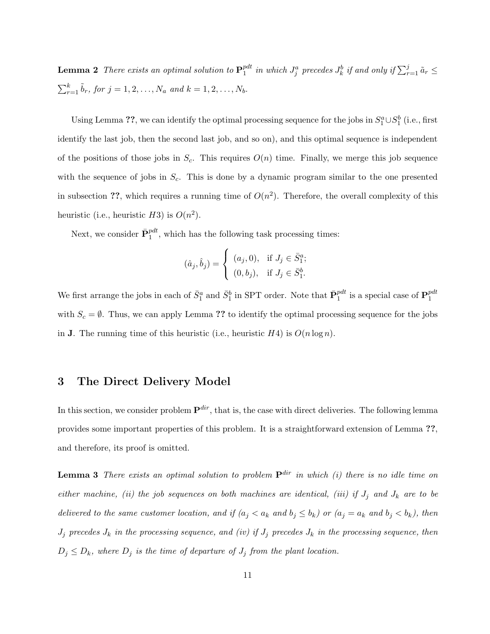**Lemma 2** There exists an optimal solution to  $\mathbf{P}_1^{pdt}$  $\hat{p}^{dt}_1$  in which  $J^a_j$  precedes  $J^b_k$  if and only if  $\sum_{r=1}^j \tilde{a}_r \leq 1$  $\sum_{r=1}^{k} \tilde{b}_r$ , for  $j = 1, 2, ..., N_a$  and  $k = 1, 2, ..., N_b$ .

Using Lemma ??, we can identify the optimal processing sequence for the jobs in  $S_1^a \cup S_1^b$  (i.e., first identify the last job, then the second last job, and so on), and this optimal sequence is independent of the positions of those jobs in  $S_c$ . This requires  $O(n)$  time. Finally, we merge this job sequence with the sequence of jobs in  $S_c$ . This is done by a dynamic program similar to the one presented in subsection ??, which requires a running time of  $O(n^2)$ . Therefore, the overall complexity of this heuristic (i.e., heuristic  $H3$ ) is  $O(n^2)$ .

Next, we consider  $\bar{\mathbf{P}}_1^{pdt}$ , which has the following task processing times:

$$
(\hat{a}_j, \hat{b}_j) = \begin{cases} (a_j, 0), & \text{if } J_j \in \bar{S}_1^a; \\ (0, b_j), & \text{if } J_j \in \bar{S}_1^b. \end{cases}
$$

We first arrange the jobs in each of  $\bar{S}_1^a$  and  $\bar{S}_1^b$  in SPT order. Note that  $\bar{\mathbf{P}}_1^{pdt}$  is a special case of  $\mathbf{P}_1^{pdt}$ 1 with  $S_c = \emptyset$ . Thus, we can apply Lemma ?? to identify the optimal processing sequence for the jobs in **J**. The running time of this heuristic (i.e., heuristic  $H4$ ) is  $O(n \log n)$ .

## 3 The Direct Delivery Model

In this section, we consider problem  $\mathbf{P}^{dir}$ , that is, the case with direct deliveries. The following lemma provides some important properties of this problem. It is a straightforward extension of Lemma ??, and therefore, its proof is omitted.

**Lemma 3** There exists an optimal solution to problem  $P^{dir}$  in which (i) there is no idle time on either machine, (ii) the job sequences on both machines are identical, (iii) if  $J_j$  and  $J_k$  are to be delivered to the same customer location, and if  $(a_j < a_k$  and  $b_j \leq b_k$ ) or  $(a_j = a_k$  and  $b_j < b_k$ ), then  $J_j$  precedes  $J_k$  in the processing sequence, and (iv) if  $J_j$  precedes  $J_k$  in the processing sequence, then  $D_j \leq D_k$ , where  $D_j$  is the time of departure of  $J_j$  from the plant location.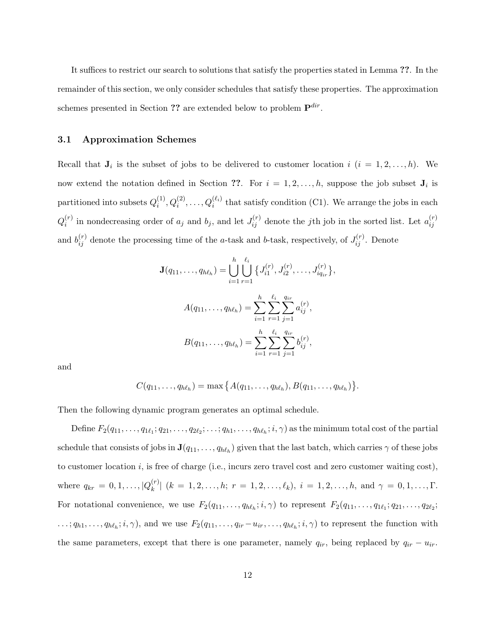It suffices to restrict our search to solutions that satisfy the properties stated in Lemma ??. In the remainder of this section, we only consider schedules that satisfy these properties. The approximation schemes presented in Section ?? are extended below to problem  $\mathbf{P}^{dir}$ .

#### 3.1 Approximation Schemes

Recall that  $J_i$  is the subset of jobs to be delivered to customer location  $i$   $(i = 1, 2, ..., h)$ . We now extend the notation defined in Section ??. For  $i = 1, 2, ..., h$ , suppose the job subset  $J_i$  is partitioned into subsets  $Q_i^{(1)}$  $i_1^{(1)}, Q_i^{(2)}, \ldots, Q_i^{(\ell_i)}$  that satisfy condition (C1). We arrange the jobs in each  $Q_i^{(r)}$  $i^{(r)}$  in nondecreasing order of  $a_j$  and  $b_j$ , and let  $J_{ij}^{(r)}$  denote the jth job in the sorted list. Let  $a_{ij}^{(r)}$ ij and  $b_{ij}^{(r)}$  denote the processing time of the *a*-task and *b*-task, respectively, of  $J_{ij}^{(r)}$ . Denote

$$
\mathbf{J}(q_{11},\ldots,q_{h\ell_h}) = \bigcup_{i=1}^h \bigcup_{r=1}^{\ell_i} \{J_{i1}^{(r)}, J_{i2}^{(r)}, \ldots, J_{iq_{ir}}^{(r)}\}
$$

$$
A(q_{11},\ldots,q_{h\ell_h}) = \sum_{i=1}^h \sum_{r=1}^{\ell_i} \sum_{j=1}^{q_{ir}} a_{ij}^{(r)},
$$

$$
B(q_{11},\ldots,q_{h\ell_h}) = \sum_{i=1}^h \sum_{r=1}^{\ell_i} \sum_{j=1}^{q_{ir}} b_{ij}^{(r)},
$$

,

and

$$
C(q_{11},...,q_{h\ell_h}) = \max\big\{A(q_{11},...,q_{h\ell_h}),B(q_{11},...,q_{h\ell_h})\big\}.
$$

Then the following dynamic program generates an optimal schedule.

Define  $F_2(q_{11},\ldots,q_{1\ell_1};q_{21},\ldots,q_{2\ell_2};\ldots;q_{h1},\ldots,q_{h\ell_h};i,\gamma)$  as the minimum total cost of the partial schedule that consists of jobs in  $\mathbf{J}(q_{11},\ldots,q_{h\ell_h})$  given that the last batch, which carries  $\gamma$  of these jobs to customer location  $i$ , is free of charge (i.e., incurs zero travel cost and zero customer waiting cost), where  $q_{kr} = 0, 1, ..., |Q_k^{(r)}|$  $\binom{[r]}{k}$   $(k = 1, 2, \ldots, h; r = 1, 2, \ldots, \ell_k), i = 1, 2, \ldots, h, \text{ and } \gamma = 0, 1, \ldots, \Gamma.$ For notational convenience, we use  $F_2(q_{11}, \ldots, q_{h\ell_h}; i, \gamma)$  to represent  $F_2(q_{11}, \ldots, q_{1\ell_1}; q_{21}, \ldots, q_{2\ell_2};$  $\dots; q_{h1}, \dots, q_{h\ell_h}; i, \gamma$ , and we use  $F_2(q_{11}, \dots, q_{ir} - u_{ir}, \dots, q_{h\ell_h}; i, \gamma)$  to represent the function with the same parameters, except that there is one parameter, namely  $q_{ir}$ , being replaced by  $q_{ir} - u_{ir}$ .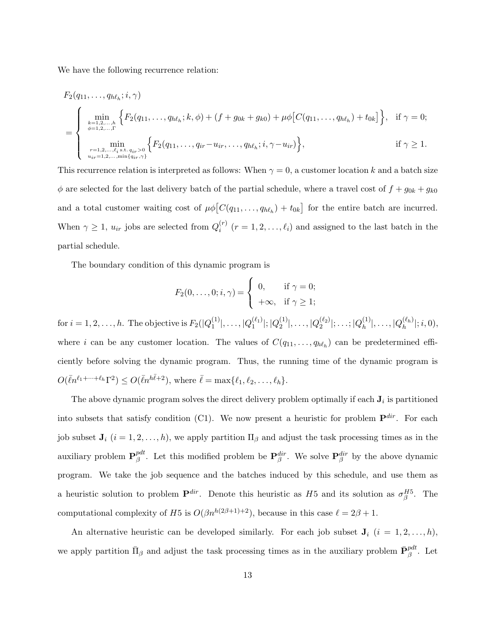We have the following recurrence relation:

$$
F_2(q_{11},...,q_{h\ell_h};i,\gamma)
$$
\n
$$
= \begin{cases}\n\min_{\substack{k=1,2,...,h\\ \phi=1,2,...,\Gamma}} \left\{ F_2(q_{11},...,q_{h\ell_h};k,\phi) + (f+g_{0k}+g_{k0}) + \mu\phi \big[ C(q_{11},...,q_{h\ell_h}) + t_{0k} \big] \right\}, & \text{if } \gamma = 0; \\
\min_{\substack{r=1,2,...,l_i \text{ s.t. } q_{ir} > 0\\ u_{ir} = 1,2,...,\min\{q_{ir},\gamma\}}} \left\{ F_2(q_{11},...,q_{ir}-u_{ir},...,q_{h\ell_h};i,\gamma-u_{ir}) \right\}, & \text{if } \gamma \ge 1.\n\end{cases}
$$

This recurrence relation is interpreted as follows: When  $\gamma = 0$ , a customer location k and a batch size  $\phi$  are selected for the last delivery batch of the partial schedule, where a travel cost of  $f + g_{0k} + g_{k0}$ and a total customer waiting cost of  $\mu \phi \left[ C(q_{11}, \ldots, q_{h\ell_h}) + t_{0k} \right]$  for the entire batch are incurred. When  $\gamma \geq 1$ ,  $u_{ir}$  jobs are selected from  $Q_i^{(r)}$  $i^{(r)}$   $(r = 1, 2, \ldots, \ell_i)$  and assigned to the last batch in the partial schedule.

The boundary condition of this dynamic program is

$$
F_2(0,\ldots,0;i,\gamma) = \begin{cases} 0, & \text{if } \gamma = 0; \\ +\infty, & \text{if } \gamma \geq 1; \end{cases}
$$

for  $i = 1, 2, \ldots, h$ . The objective is  $F_2(|Q_1^{(1)}|)$  $|101(1) \over 1}|, \ldots, |Q_1^{(\ell_1)}|$  $_1^{(\ell_1)}|;|Q_2^{(1)}|$  $|Q_2^{(1)}|, \ldots, |Q_2^{(\ell_2)}|$  $2^{(\ell_2)}|; \ldots; |Q^{(1)}_h$  $|h^{(1)}_h|,\ldots,|Q^{(\ell_h)}_h|$  $_{h}^{(k_h)}$  $|i, 0),$ where i can be any customer location. The values of  $C(q_{11},..., q_{h\ell_h})$  can be predetermined efficiently before solving the dynamic program. Thus, the running time of the dynamic program is  $O(\bar{\ell}n^{\ell_1+\cdots+\ell_h}\Gamma^2) \leq O(\bar{\ell}n^{h\bar{\ell}+2}),$  where  $\bar{\ell} = \max{\{\ell_1, \ell_2, \ldots, \ell_h\}}.$ 

The above dynamic program solves the direct delivery problem optimally if each  $J_i$  is partitioned into subsets that satisfy condition (C1). We now present a heuristic for problem  $\mathbf{P}^{dir}$ . For each job subset  $J_i$   $(i = 1, 2, ..., h)$ , we apply partition  $\Pi_\beta$  and adjust the task processing times as in the auxiliary problem  $\mathbf{P}_{\beta}^{pdt}$ <sup>pdt</sup>. Let this modified problem be  $\mathbf{P}_{\beta}^{dir}$ . We solve  $\mathbf{P}_{\beta}^{dir}$  by the above dynamic program. We take the job sequence and the batches induced by this schedule, and use them as a heuristic solution to problem  $\mathbf{P}^{dir}$ . Denote this heuristic as H5 and its solution as  $\sigma_{\beta}^{H5}$ . The computational complexity of H5 is  $O(\beta n^{h(2\beta+1)+2})$ , because in this case  $\ell = 2\beta + 1$ .

An alternative heuristic can be developed similarly. For each job subset  $J_i$   $(i = 1, 2, ..., h)$ , we apply partition  $\bar{\Pi}_{\beta}$  and adjust the task processing times as in the auxiliary problem  $\bar{\mathbf{P}}_{\beta}^{pdt}$ . Let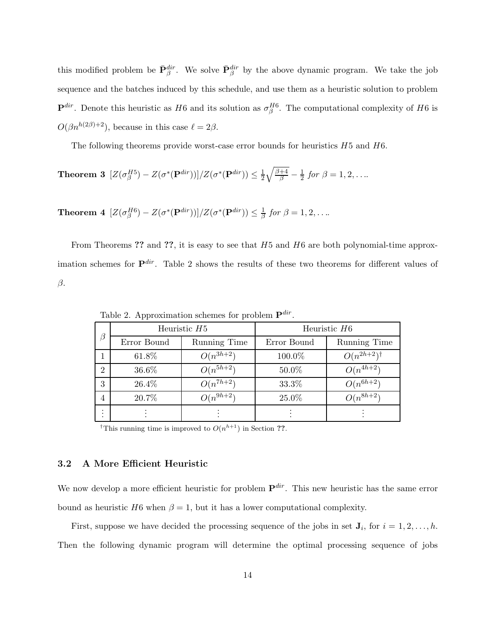this modified problem be  $\bar{\mathbf{P}}_{\beta}^{dir}$ . We solve  $\bar{\mathbf{P}}_{\beta}^{dir}$  by the above dynamic program. We take the job sequence and the batches induced by this schedule, and use them as a heuristic solution to problem  $\mathbf{P}^{dir}$ . Denote this heuristic as H6 and its solution as  $\sigma_{\beta}^{H6}$ . The computational complexity of H6 is  $O(\beta n^{h(2\beta)+2})$ , because in this case  $\ell = 2\beta$ .

The following theorems provide worst-case error bounds for heuristics  $H5$  and  $H6$ .

**Theorem 3** 
$$
[Z(\sigma_{\beta}^{H5}) - Z(\sigma^*(\mathbf{P}^{dir}))]/Z(\sigma^*(\mathbf{P}^{dir})) \leq \frac{1}{2}\sqrt{\frac{\beta+4}{\beta}} - \frac{1}{2} \text{ for } \beta = 1, 2, ...
$$

Theorem 4  $[Z(\sigma_{\beta}^{H6}) - Z(\sigma^*(\mathbf{P}^{dir}))]/Z(\sigma^*(\mathbf{P}^{dir})) \leq \frac{1}{\beta}$  for  $\beta = 1, 2, ...$ 

From Theorems ?? and ??, it is easy to see that  $H5$  and  $H6$  are both polynomial-time approximation schemes for  $\mathbf{P}^{dir}$ . Table 2 shows the results of these two theorems for different values of β.

| $\beta$                     |             | Heuristic $H5$ | Heuristic $H6$ |                         |  |  |
|-----------------------------|-------------|----------------|----------------|-------------------------|--|--|
|                             | Error Bound | Running Time   | Error Bound    | Running Time            |  |  |
|                             | 61.8%       | $O(n^{3h+2})$  | 100.0%         | $O(n^{2h+2})^{\dagger}$ |  |  |
| $\mathcal{D}_{\mathcal{L}}$ | 36.6%       | $O(n^{5h+2})$  | 50.0%          | $O(n^{4h+2})$           |  |  |
| 3                           | 26.4%       | $O(n^{7h+2})$  | 33.3%          | $O(n^{6h+2})$           |  |  |
| $\overline{4}$              | 20.7%       | $O(n^{9h+2})$  | 25.0%          | $O(n^{8h+2})$           |  |  |
|                             |             |                |                |                         |  |  |

Table 2. Approximation schemes for problem  $\mathbf{P}^{dir}$ .

<sup>†</sup>This running time is improved to  $O(n^{h+1})$  in Section ??.

#### 3.2 A More Efficient Heuristic

We now develop a more efficient heuristic for problem  $\mathbf{P}^{dir}$ . This new heuristic has the same error bound as heuristic H6 when  $\beta = 1$ , but it has a lower computational complexity.

First, suppose we have decided the processing sequence of the jobs in set  $J_i$ , for  $i = 1, 2, ..., h$ . Then the following dynamic program will determine the optimal processing sequence of jobs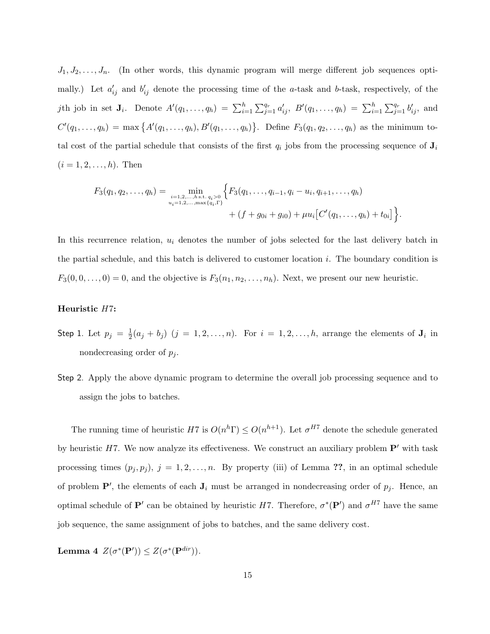$J_1, J_2, \ldots, J_n$ . (In other words, this dynamic program will merge different job sequences optimally.) Let  $a'_{ij}$  and  $b'_{ij}$  denote the processing time of the a-task and b-task, respectively, of the jth job in set  $J_i$ . Denote  $A'(q_1, ..., q_h) = \sum_{i=1}^h \sum_{j=1}^{q_r} a'_{ij}$ ,  $B'(q_1, ..., q_h) = \sum_{i=1}^h \sum_{j=1}^{q_r} b'_{ij}$ , and  $C'(q_1, \ldots, q_h) = \max\{A'(q_1, \ldots, q_h), B'(q_1, \ldots, q_h)\}.$  Define  $F_3(q_1, q_2, \ldots, q_h)$  as the minimum total cost of the partial schedule that consists of the first  $q_i$  jobs from the processing sequence of  $J_i$  $(i = 1, 2, \ldots, h)$ . Then

$$
F_3(q_1, q_2, \ldots, q_h) = \min_{\substack{i=1,2,\ldots,h \text{ s.t. } q_i > 0 \\ u_i = 1,2,\ldots,\max\{q_i,\Gamma\}}} \Big\{ F_3(q_1, \ldots, q_{i-1}, q_i - u_i, q_{i+1}, \ldots, q_h) \\ + (f + g_{0i} + g_{i0}) + \mu u_i \Big[ C'(q_1, \ldots, q_h) + t_{0i} \Big] \Big\}.
$$

In this recurrence relation,  $u_i$  denotes the number of jobs selected for the last delivery batch in the partial schedule, and this batch is delivered to customer location  $i$ . The boundary condition is  $F_3(0,0,\ldots,0) = 0$ , and the objective is  $F_3(n_1, n_2, \ldots, n_h)$ . Next, we present our new heuristic.

#### Heuristic H7:

- Step 1. Let  $p_j = \frac{1}{2}(a_j + b_j)$   $(j = 1, 2, ..., n)$ . For  $i = 1, 2, ..., h$ , arrange the elements of  $J_i$  in nondecreasing order of  $p_j$ .
- Step 2. Apply the above dynamic program to determine the overall job processing sequence and to assign the jobs to batches.

The running time of heuristic H7 is  $O(n^h\Gamma) \leq O(n^{h+1})$ . Let  $\sigma^{H7}$  denote the schedule generated by heuristic H7. We now analyze its effectiveness. We construct an auxiliary problem  $\mathbf{P}'$  with task processing times  $(p_j, p_j), j = 1, 2, ..., n$ . By property (iii) of Lemma ??, in an optimal schedule of problem  $\mathbf{P}'$ , the elements of each  $\mathbf{J}_i$  must be arranged in nondecreasing order of  $p_j$ . Hence, an optimal schedule of  $\mathbf{P}'$  can be obtained by heuristic H7. Therefore,  $\sigma^*(\mathbf{P}')$  and  $\sigma^{H7}$  have the same job sequence, the same assignment of jobs to batches, and the same delivery cost.

Lemma 4  $Z(\sigma^*(\mathbf{P}')) \leq Z(\sigma^*(\mathbf{P}^{dir})).$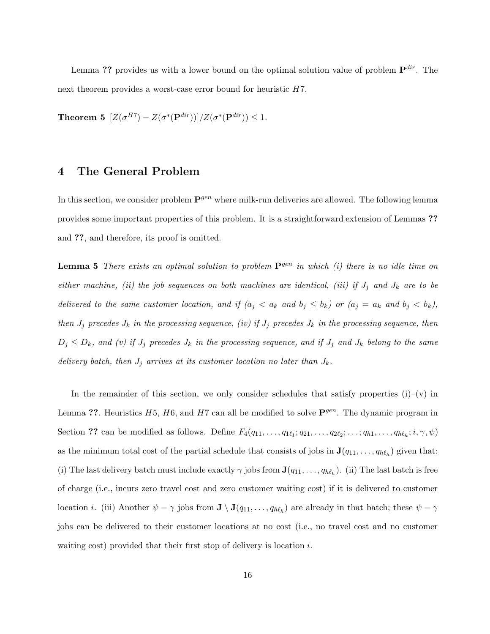Lemma ?? provides us with a lower bound on the optimal solution value of problem  $\mathbf{P}^{dir}$ . The next theorem provides a worst-case error bound for heuristic  $H7$ .

Theorem 5  $[Z(\sigma^{H7})-Z(\sigma^*(\mathbf{P}^{dir}))]/Z(\sigma^*(\mathbf{P}^{dir})) \leq 1.$ 

## 4 The General Problem

In this section, we consider problem  $\mathbf{P}^{gen}$  where milk-run deliveries are allowed. The following lemma provides some important properties of this problem. It is a straightforward extension of Lemmas ?? and ??, and therefore, its proof is omitted.

**Lemma 5** There exists an optimal solution to problem  $\mathbf{P}^{gen}$  in which (i) there is no idle time on either machine, (ii) the job sequences on both machines are identical, (iii) if  $J_j$  and  $J_k$  are to be delivered to the same customer location, and if  $(a_j < a_k$  and  $b_j \leq b_k$ ) or  $(a_j = a_k$  and  $b_j < b_k$ ), then  $J_j$  precedes  $J_k$  in the processing sequence, (iv) if  $J_j$  precedes  $J_k$  in the processing sequence, then  $D_j \leq D_k$ , and (v) if  $J_j$  precedes  $J_k$  in the processing sequence, and if  $J_j$  and  $J_k$  belong to the same delivery batch, then  $J_j$  arrives at its customer location no later than  $J_k$ .

In the remainder of this section, we only consider schedules that satisfy properties  $(i)-(v)$  in Lemma ??. Heuristics  $H5$ ,  $H6$ , and  $H7$  can all be modified to solve  $\mathbf{P}^{gen}$ . The dynamic program in Section ?? can be modified as follows. Define  $F_4(q_{11}, \ldots, q_{1\ell_1}; q_{21}, \ldots, q_{2\ell_2}; \ldots; q_{h1}, \ldots, q_{h\ell_h}; i, \gamma, \psi)$ as the minimum total cost of the partial schedule that consists of jobs in  $\mathbf{J}(q_{11}, \ldots, q_{h\ell_h})$  given that: (i) The last delivery batch must include exactly  $\gamma$  jobs from  $\mathbf{J}(q_{11},\ldots,q_{h\ell_h})$ . (ii) The last batch is free of charge (i.e., incurs zero travel cost and zero customer waiting cost) if it is delivered to customer location *i*. (iii) Another  $\psi - \gamma$  jobs from  $J \setminus J(q_{11},..., q_{h\ell_h})$  are already in that batch; these  $\psi - \gamma$ jobs can be delivered to their customer locations at no cost (i.e., no travel cost and no customer waiting cost) provided that their first stop of delivery is location i.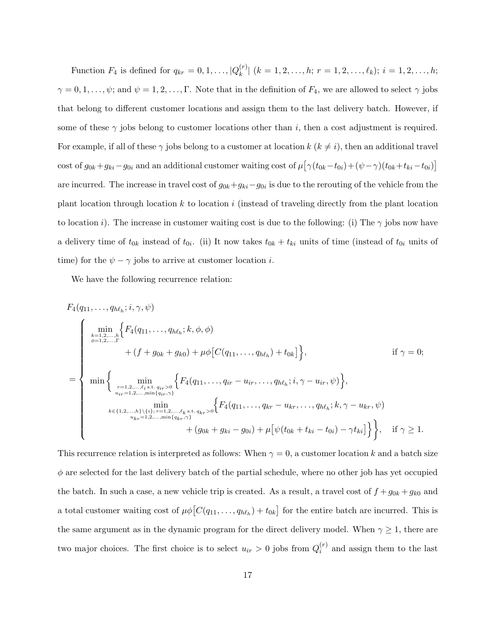Function  $F_4$  is defined for  $q_{kr} = 0, 1, \ldots, |Q_k^{(r)}|$  $\binom{r}{k}$   $(k = 1, 2, \ldots, h; r = 1, 2, \ldots, \ell_k); i = 1, 2, \ldots, h;$  $\gamma = 0, 1, \ldots, \psi$ ; and  $\psi = 1, 2, \ldots, \Gamma$ . Note that in the definition of  $F_4$ , we are allowed to select  $\gamma$  jobs that belong to different customer locations and assign them to the last delivery batch. However, if some of these  $\gamma$  jobs belong to customer locations other than i, then a cost adjustment is required. For example, if all of these  $\gamma$  jobs belong to a customer at location  $k$  ( $k \neq i$ ), then an additional travel cost of  $g_{0k} + g_{ki}-g_{0i}$  and an additional customer waiting cost of  $\mu[\gamma(t_{0k}-t_{0i})+(\psi-\gamma)(t_{0k}+t_{ki}-t_{0i})]$ are incurred. The increase in travel cost of  $g_{0k}+g_{ki}-g_{0i}$  is due to the rerouting of the vehicle from the plant location through location  $k$  to location  $i$  (instead of traveling directly from the plant location to location i). The increase in customer waiting cost is due to the following: (i) The  $\gamma$  jobs now have a delivery time of  $t_{0k}$  instead of  $t_{0i}$ . (ii) It now takes  $t_{0k} + t_{ki}$  units of time (instead of  $t_{0i}$  units of time) for the  $\psi - \gamma$  jobs to arrive at customer location *i*.

We have the following recurrence relation:

$$
F_4(q_{11},..., q_{h\ell_h}; i, \gamma, \psi)
$$
\n
$$
\begin{cases}\n\min_{k=1,2,...,r} \left\{ F_4(q_{11},..., q_{h\ell_h}; k, \phi, \phi) \right. \\
+ (f + g_{0k} + g_{k0}) + \mu \phi \big[ C(q_{11},..., q_{h\ell_h}) + t_{0k} \big] \right\}, & \text{if } \gamma = 0; \\
\min \left\{ \min_{\substack{r=1,2,...,\ell_i \text{ s.t. } q_{ir} > 0 \\ u_{ir}=1,2,...,\min\{q_{ir},\gamma\}}} \left\{ F_4(q_{11},..., q_{ir}-u_{ir},..., q_{h\ell_h}; i, \gamma - u_{ir}, \psi) \right\}, \\
\min_{k \in \{1,2,...,h\} \setminus \{i\}; r=1,2,...,\ell_k \text{ s.t. } q_{kr} > 0} \left\{ F_4(q_{11},..., q_{kr}-u_{kr},..., q_{h\ell_h}; k, \gamma - u_{kr}, \psi) \right. \\
+ (g_{0k} + g_{ki} - g_{0i}) + \mu \big[ \psi(t_{0k} + t_{ki} - t_{0i}) - \gamma t_{ki} \big] \right\}, & \text{if } \gamma \ge 1.\n\end{cases}
$$

This recurrence relation is interpreted as follows: When  $\gamma = 0$ , a customer location k and a batch size  $\phi$  are selected for the last delivery batch of the partial schedule, where no other job has yet occupied the batch. In such a case, a new vehicle trip is created. As a result, a travel cost of  $f + g_{0k} + g_{k0}$  and a total customer waiting cost of  $\mu\phi[C(q_{11},...,q_{h\ell_h})+t_{0k}]$  for the entire batch are incurred. This is the same argument as in the dynamic program for the direct delivery model. When  $\gamma \geq 1$ , there are two major choices. The first choice is to select  $u_{ir} > 0$  jobs from  $Q_i^{(r)}$  $i^{(r)}$  and assign them to the last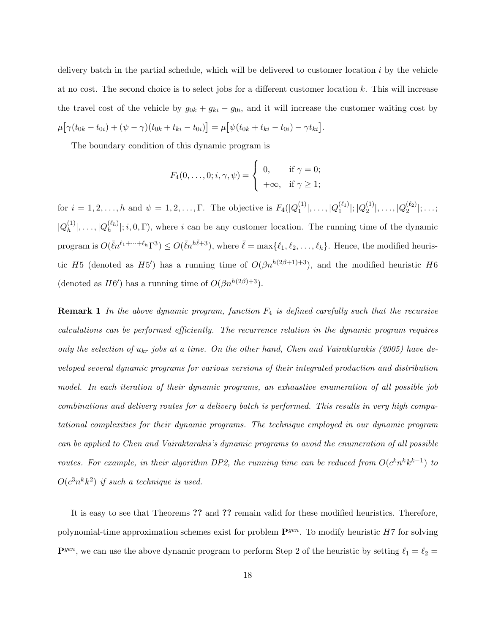delivery batch in the partial schedule, which will be delivered to customer location  $i$  by the vehicle at no cost. The second choice is to select jobs for a different customer location k. This will increase the travel cost of the vehicle by  $g_{0k} + g_{ki} - g_{0i}$ , and it will increase the customer waiting cost by  $\mu\big[\gamma(t_{0k}-t_{0i})+(\psi-\gamma)(t_{0k}+t_{ki}-t_{0i})\big]=\mu\big[\psi(t_{0k}+t_{ki}-t_{0i})-\gamma t_{ki}\big].$ 

The boundary condition of this dynamic program is

$$
F_4(0,\ldots,0;i,\gamma,\psi) = \begin{cases} 0, & \text{if } \gamma = 0; \\ +\infty, & \text{if } \gamma \geq 1; \end{cases}
$$

for  $i = 1, 2, ..., h$  and  $\psi = 1, 2, ..., \Gamma$ . The objective is  $F_4(|Q_1^{(1)}|)$  $|101(1) \over 1}|, \ldots, |Q_1^{(\ell_1)}|$  $_1^{(\ell_1)}|;|Q_2^{(1)}|$  $|Q_2^{(1)}|, \ldots, |Q_2^{(\ell_2)}|$  $\binom{2}{2}$ ; ...;  $|Q_h^{(1)}|$  $|h^{(1)}_h|,\ldots,|Q^{(\ell_h)}_h|$  $\binom{(\kappa_h)}{h}$ ; i, 0,  $\Gamma$ ), where i can be any customer location. The running time of the dynamic program is  $O(\bar{\ell}n^{\ell_1+\cdots+\ell_h}\Gamma^3) \leq O(\bar{\ell}n^{h\bar{\ell}+3})$ , where  $\bar{\ell} = \max{\ell_1, \ell_2, \ldots, \ell_h}$ . Hence, the modified heuristic H<sub>5</sub> (denoted as H<sub>5</sub><sup>'</sup>) has a running time of  $O(\beta n^{h(2\beta+1)+3})$ , and the modified heuristic H<sub>6</sub> (denoted as  $H6'$ ) has a running time of  $O(\beta n^{h(2\beta)+3})$ .

**Remark 1** In the above dynamic program, function  $F_4$  is defined carefully such that the recursive calculations can be performed efficiently. The recurrence relation in the dynamic program requires only the selection of  $u_{kr}$  jobs at a time. On the other hand, Chen and Vairaktarakis (2005) have developed several dynamic programs for various versions of their integrated production and distribution model. In each iteration of their dynamic programs, an exhaustive enumeration of all possible job combinations and delivery routes for a delivery batch is performed. This results in very high computational complexities for their dynamic programs. The technique employed in our dynamic program can be applied to Chen and Vairaktarakis's dynamic programs to avoid the enumeration of all possible routes. For example, in their algorithm DP2, the running time can be reduced from  $O(c^k n^k k^{k-1})$  to  $O(c^3n^kk^2)$  if such a technique is used.

It is easy to see that Theorems ?? and ?? remain valid for these modified heuristics. Therefore, polynomial-time approximation schemes exist for problem  $\mathbf{P}^{gen}$ . To modify heuristic H7 for solving  $\mathbf{P}^{gen}$ , we can use the above dynamic program to perform Step 2 of the heuristic by setting  $\ell_1 = \ell_2 =$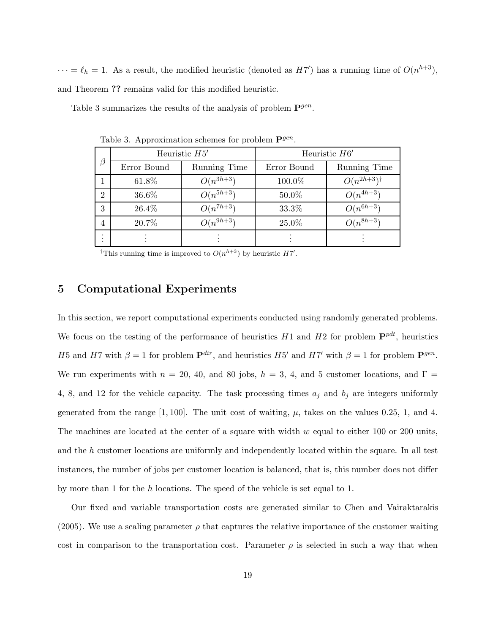$\cdots = \ell_h = 1$ . As a result, the modified heuristic (denoted as H7') has a running time of  $O(n^{h+3})$ , and Theorem ?? remains valid for this modified heuristic.

Table 3 summarizes the results of the analysis of problem  $\mathbf{P}^{gen}$ .

| $\beta$        |             | Heuristic $H5'$ | Heuristic $H6'$ |                         |  |  |
|----------------|-------------|-----------------|-----------------|-------------------------|--|--|
|                | Error Bound | Running Time    | Error Bound     | Running Time            |  |  |
|                | 61.8%       | $O(n^{3h+3})$   | 100.0%          | $O(n^{2h+3})^{\dagger}$ |  |  |
| $\overline{2}$ | 36.6%       | $O(n^{5h+3})$   | 50.0%           | $O(n^{4h+3})$           |  |  |
| 3              | 26.4%       | $O(n^{7h+3})$   | 33.3%           | $O(n^{6h+3})$           |  |  |
| 4              | 20.7%       | $O(n^{9h+3})$   | 25.0%           | $O(n^{8h+3})$           |  |  |
| ٠              |             |                 |                 |                         |  |  |

Table 3. Approximation schemes for problem  $\mathbf{P}^{gen}$ .

<sup>†</sup>This running time is improved to  $O(n^{h+3})$  by heuristic  $H7'$ .

## 5 Computational Experiments

In this section, we report computational experiments conducted using randomly generated problems. We focus on the testing of the performance of heuristics  $H1$  and  $H2$  for problem  $\mathbf{P}^{pdt}$ , heuristics H5 and H7 with  $\beta = 1$  for problem  $\mathbf{P}^{dir}$ , and heuristics H5' and H7' with  $\beta = 1$  for problem  $\mathbf{P}^{gen}$ . We run experiments with  $n = 20, 40,$  and 80 jobs,  $h = 3, 4$ , and 5 customer locations, and  $\Gamma =$ 4, 8, and 12 for the vehicle capacity. The task processing times  $a_j$  and  $b_j$  are integers uniformly generated from the range  $[1, 100]$ . The unit cost of waiting,  $\mu$ , takes on the values 0.25, 1, and 4. The machines are located at the center of a square with width  $w$  equal to either 100 or 200 units, and the h customer locations are uniformly and independently located within the square. In all test instances, the number of jobs per customer location is balanced, that is, this number does not differ by more than 1 for the h locations. The speed of the vehicle is set equal to 1.

Our fixed and variable transportation costs are generated similar to Chen and Vairaktarakis (2005). We use a scaling parameter  $\rho$  that captures the relative importance of the customer waiting cost in comparison to the transportation cost. Parameter  $\rho$  is selected in such a way that when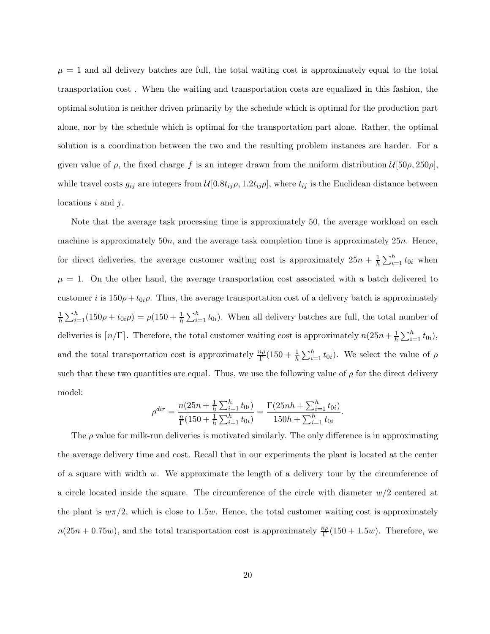$\mu = 1$  and all delivery batches are full, the total waiting cost is approximately equal to the total transportation cost . When the waiting and transportation costs are equalized in this fashion, the optimal solution is neither driven primarily by the schedule which is optimal for the production part alone, nor by the schedule which is optimal for the transportation part alone. Rather, the optimal solution is a coordination between the two and the resulting problem instances are harder. For a given value of  $\rho$ , the fixed charge f is an integer drawn from the uniform distribution  $\mathcal{U}[50\rho, 250\rho]$ , while travel costs  $g_{ij}$  are integers from  $\mathcal{U}[0.8t_{ij}\rho, 1.2t_{ij}\rho]$ , where  $t_{ij}$  is the Euclidean distance between locations i and j.

Note that the average task processing time is approximately 50, the average workload on each machine is approximately  $50n$ , and the average task completion time is approximately  $25n$ . Hence, for direct deliveries, the average customer waiting cost is approximately  $25n + \frac{1}{b}$  $\frac{1}{h}\sum_{i=1}^{h} t_{0i}$  when  $\mu = 1$ . On the other hand, the average transportation cost associated with a batch delivered to customer i is  $150\rho + t_{0i}\rho$ . Thus, the average transportation cost of a delivery batch is approximately  $\frac{1}{h}\sum_{i=1}^{h}(150\rho + t_{0i}\rho) = \rho(150 + \frac{1}{h}\sum_{i=1}^{h}t_{0i})$ . When all delivery batches are full, the total number of deliveries is  $\lceil n/\Gamma \rceil$ . Therefore, the total customer waiting cost is approximately  $n(25n + \frac{1}{h} \sum_{i=1}^{h} t_{0i}),$ and the total transportation cost is approximately  $\frac{np}{\Gamma}(150 + \frac{1}{h}\sum_{i=1}^{h} t_{0i})$ . We select the value of  $\rho$ such that these two quantities are equal. Thus, we use the following value of  $\rho$  for the direct delivery model:

$$
\rho^{dir} = \frac{n(25n + \frac{1}{h}\sum_{i=1}^h t_{0i})}{\frac{n}{\Gamma}(150 + \frac{1}{h}\sum_{i=1}^h t_{0i})} = \frac{\Gamma(25nh + \sum_{i=1}^h t_{0i})}{150h + \sum_{i=1}^h t_{0i}}.
$$

The  $\rho$  value for milk-run deliveries is motivated similarly. The only difference is in approximating the average delivery time and cost. Recall that in our experiments the plant is located at the center of a square with width  $w$ . We approximate the length of a delivery tour by the circumference of a circle located inside the square. The circumference of the circle with diameter  $w/2$  centered at the plant is  $w\pi/2$ , which is close to 1.5w. Hence, the total customer waiting cost is approximately  $n(25n + 0.75w)$ , and the total transportation cost is approximately  $\frac{n\rho}{\Gamma}(150 + 1.5w)$ . Therefore, we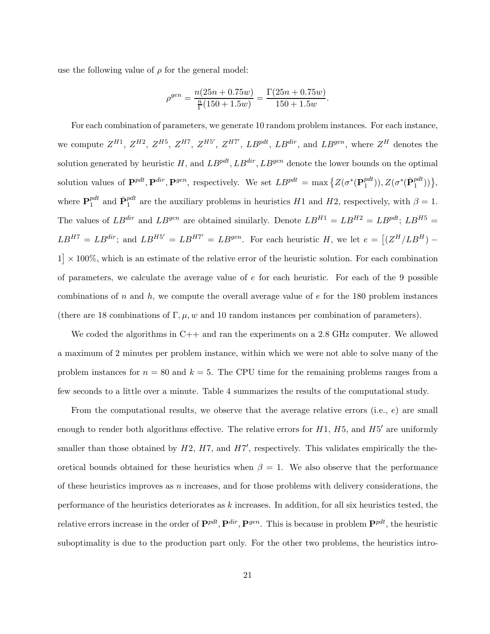use the following value of  $\rho$  for the general model:

$$
\rho^{gen} = \frac{n(25n + 0.75w)}{\frac{n}{\Gamma}(150 + 1.5w)} = \frac{\Gamma(25n + 0.75w)}{150 + 1.5w}.
$$

For each combination of parameters, we generate 10 random problem instances. For each instance, we compute  $Z^{H1}$ ,  $Z^{H2}$ ,  $Z^{H5}$ ,  $Z^{H7}$ ,  $Z^{H5'}$ ,  $Z^{H7'}$ ,  $LB^{pdt}$ ,  $LB^{dir}$ , and  $LB^{gen}$ , where  $Z^H$  denotes the solution generated by heuristic H, and  $LB^{pdt}$ ,  $LB^{dir}$ ,  $LB^{gen}$  denote the lower bounds on the optimal solution values of  $\mathbf{P}^{pdt}, \mathbf{P}^{dir}, \mathbf{P}^{gen}$ , respectively. We set  $LB^{pdt} = \max \{Z(\sigma^*(\mathbf{P}_1^{pdt})\})$  $_{1}^{pdt}$  $)), Z(\sigma^{*}(\bar{\mathbf{P}}_{1}^{pdt}))\},$ where  $\mathbf{P}_1^{pdt}$  $P_1^{pt}$  and  $\bar{\mathbf{P}}_1^{pdt}$  are the auxiliary problems in heuristics H1 and H2, respectively, with  $\beta = 1$ . The values of  $LB^{dir}$  and  $LB^{gen}$  are obtained similarly. Denote  $LB^{H1} = LB^{H2} = LB^{pdf}$ ;  $LB^{H5} =$  $LB^{HT} = LB^{dir}$ ; and  $LB^{H5'} = LB^{H7'} = LB^{gen}$ . For each heuristic H, we let  $e = [(Z^H / LB^H) 1 \times 100\%$ , which is an estimate of the relative error of the heuristic solution. For each combination of parameters, we calculate the average value of  $e$  for each heuristic. For each of the 9 possible combinations of n and h, we compute the overall average value of  $e$  for the 180 problem instances (there are 18 combinations of  $\Gamma, \mu, w$  and 10 random instances per combination of parameters).

We coded the algorithms in C++ and ran the experiments on a 2.8 GHz computer. We allowed a maximum of 2 minutes per problem instance, within which we were not able to solve many of the problem instances for  $n = 80$  and  $k = 5$ . The CPU time for the remaining problems ranges from a few seconds to a little over a minute. Table 4 summarizes the results of the computational study.

From the computational results, we observe that the average relative errors (i.e.,  $e$ ) are small enough to render both algorithms effective. The relative errors for  $H1$ ,  $H5$ , and  $H5'$  are uniformly smaller than those obtained by  $H2$ ,  $H7$ , and  $H7'$ , respectively. This validates empirically the theoretical bounds obtained for these heuristics when  $\beta = 1$ . We also observe that the performance of these heuristics improves as  $n$  increases, and for those problems with delivery considerations, the performance of the heuristics deteriorates as k increases. In addition, for all six heuristics tested, the relative errors increase in the order of  $\mathbf{P}^{pdt}, \mathbf{P}^{dir}, \mathbf{P}^{gen}$ . This is because in problem  $\mathbf{P}^{pdt}$ , the heuristic suboptimality is due to the production part only. For the other two problems, the heuristics intro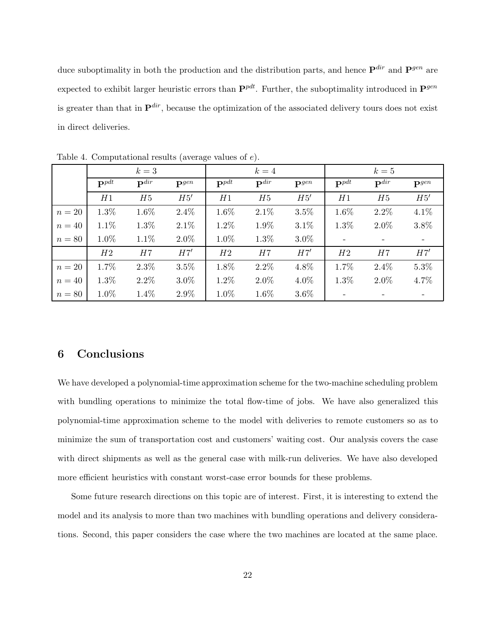duce suboptimality in both the production and the distribution parts, and hence  $\mathbf{P}^{dir}$  and  $\mathbf{P}^{gen}$  are expected to exhibit larger heuristic errors than  $\mathbf{P}^{pdt}$ . Further, the suboptimality introduced in  $\mathbf{P}^{gen}$ is greater than that in  $\mathbf{P}^{dir}$ , because the optimization of the associated delivery tours does not exist in direct deliveries.

|          | $k=3$              |                    |                  | $k=4$              |                    |                  | $k=5$              |                    |                  |
|----------|--------------------|--------------------|------------------|--------------------|--------------------|------------------|--------------------|--------------------|------------------|
|          | $\mathbf{P}^{pdt}$ | $\mathbf{P}^{dir}$ | $\mathbf{p}$ gen | $\mathbf{P}^{pdt}$ | $\mathbf{P}^{dir}$ | $\mathbf{p}$ gen | $\mathbf{P}^{pdt}$ | $\mathbf{P}^{dir}$ | $\mathbf{p}$ gen |
|          | H1                 | H5                 | H5'              | H1                 | H5                 | H5'              | H1                 | H5                 | H5'              |
| $n=20$   | 1.3%               | 1.6%               | $2.4\%$          | 1.6%               | 2.1%               | $3.5\%$          | 1.6%               | $2.2\%$            | $4.1\%$          |
| $n=40$   | 1.1%               | $1.3\%$            | $2.1\%$          | 1.2%               | 1.9%               | $3.1\%$          | 1.3%               | $2.0\%$            | 3.8%             |
| $n=80$   | 1.0%               | 1.1%               | $2.0\%$          | 1.0%               | 1.3%               | $3.0\%$          |                    |                    |                  |
|          | H2                 | H7                 | H7'              | H2                 | H7                 | H7'              | H2                 | H7                 | H7'              |
| $n=20$   | 1.7%               | $2.3\%$            | $3.5\%$          | 1.8%               | $2.2\%$            | 4.8%             | 1.7%               | $2.4\%$            | $5.3\%$          |
| $n=40$   | 1.3%               | $2.2\%$            | $3.0\%$          | 1.2%               | $2.0\%$            | 4.0%             | 1.3%               | $2.0\%$            | 4.7%             |
| $n = 80$ | 1.0%               | $1.4\%$            | 2.9%             | 1.0%               | 1.6%               | $3.6\%$          |                    |                    |                  |

Table 4. Computational results (average values of e).

## 6 Conclusions

We have developed a polynomial-time approximation scheme for the two-machine scheduling problem with bundling operations to minimize the total flow-time of jobs. We have also generalized this polynomial-time approximation scheme to the model with deliveries to remote customers so as to minimize the sum of transportation cost and customers' waiting cost. Our analysis covers the case with direct shipments as well as the general case with milk-run deliveries. We have also developed more efficient heuristics with constant worst-case error bounds for these problems.

Some future research directions on this topic are of interest. First, it is interesting to extend the model and its analysis to more than two machines with bundling operations and delivery considerations. Second, this paper considers the case where the two machines are located at the same place.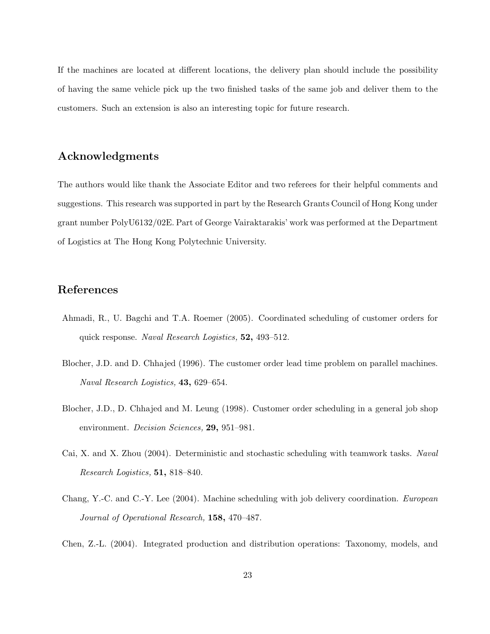If the machines are located at different locations, the delivery plan should include the possibility of having the same vehicle pick up the two finished tasks of the same job and deliver them to the customers. Such an extension is also an interesting topic for future research.

## Acknowledgments

The authors would like thank the Associate Editor and two referees for their helpful comments and suggestions. This research was supported in part by the Research Grants Council of Hong Kong under grant number PolyU6132/02E. Part of George Vairaktarakis' work was performed at the Department of Logistics at The Hong Kong Polytechnic University.

## References

- Ahmadi, R., U. Bagchi and T.A. Roemer (2005). Coordinated scheduling of customer orders for quick response. Naval Research Logistics, 52, 493–512.
- Blocher, J.D. and D. Chhajed (1996). The customer order lead time problem on parallel machines. Naval Research Logistics, 43, 629–654.
- Blocher, J.D., D. Chhajed and M. Leung (1998). Customer order scheduling in a general job shop environment. *Decision Sciences*, **29**, 951–981.
- Cai, X. and X. Zhou (2004). Deterministic and stochastic scheduling with teamwork tasks. Naval Research Logistics, 51, 818–840.
- Chang, Y.-C. and C.-Y. Lee (2004). Machine scheduling with job delivery coordination. European Journal of Operational Research, 158, 470–487.
- Chen, Z.-L. (2004). Integrated production and distribution operations: Taxonomy, models, and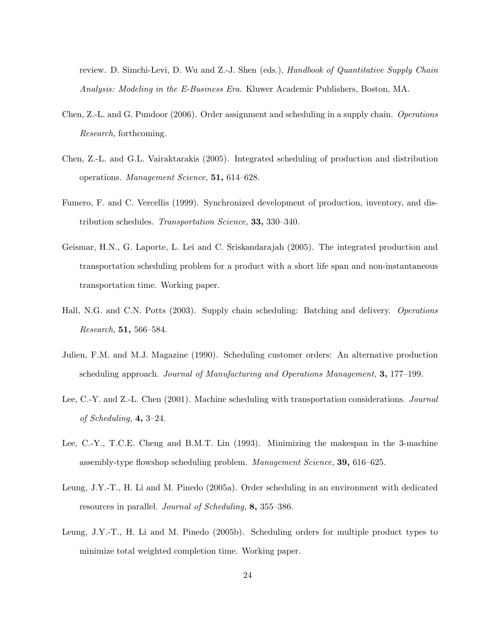review. D. Simchi-Levi, D. Wu and Z.-J. Shen (eds.), Handbook of Quantitative Supply Chain Analysis: Modeling in the E-Business Era. Kluwer Academic Publishers, Boston, MA.

- Chen, Z.-L. and G. Pundoor (2006). Order assignment and scheduling in a supply chain. Operations Research, forthcoming.
- Chen, Z.-L. and G.L. Vairaktarakis (2005). Integrated scheduling of production and distribution operations. Management Science, 51, 614–628.
- Fumero, F. and C. Vercellis (1999). Synchronized development of production, inventory, and distribution schedules. Transportation Science, **33,** 330–340.
- Geismar, H.N., G. Laporte, L. Lei and C. Sriskandarajah (2005). The integrated production and transportation scheduling problem for a product with a short life span and non-instantaneous transportation time. Working paper.
- Hall, N.G. and C.N. Potts (2003). Supply chain scheduling: Batching and delivery. Operations Research, 51, 566–584.
- Julien, F.M. and M.J. Magazine (1990). Scheduling customer orders: An alternative production scheduling approach. Journal of Manufacturing and Operations Management, 3, 177–199.
- Lee, C.-Y. and Z.-L. Chen (2001). Machine scheduling with transportation considerations. Journal of Scheduling,  $4, 3-24$ .
- Lee, C.-Y., T.C.E. Cheng and B.M.T. Lin (1993). Minimizing the makespan in the 3-machine assembly-type flowshop scheduling problem. Management Science, 39, 616–625.
- Leung, J.Y.-T., H. Li and M. Pinedo (2005a). Order scheduling in an environment with dedicated resources in parallel. Journal of Scheduling, 8, 355–386.
- Leung, J.Y.-T., H. Li and M. Pinedo (2005b). Scheduling orders for multiple product types to minimize total weighted completion time. Working paper.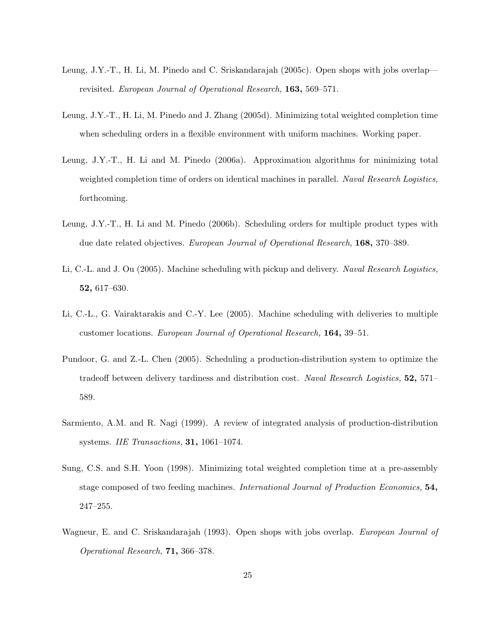- Leung, J.Y.-T., H. Li, M. Pinedo and C. Sriskandarajah (2005c). Open shops with jobs overlap revisited. European Journal of Operational Research, 163, 569–571.
- Leung, J.Y.-T., H. Li, M. Pinedo and J. Zhang (2005d). Minimizing total weighted completion time when scheduling orders in a flexible environment with uniform machines. Working paper.
- Leung, J.Y.-T., H. Li and M. Pinedo (2006a). Approximation algorithms for minimizing total weighted completion time of orders on identical machines in parallel. Naval Research Logistics, forthcoming.
- Leung, J.Y.-T., H. Li and M. Pinedo (2006b). Scheduling orders for multiple product types with due date related objectives. European Journal of Operational Research, 168, 370–389.
- Li, C.-L. and J. Ou (2005). Machine scheduling with pickup and delivery. Naval Research Logistics, 52, 617–630.
- Li, C.-L., G. Vairaktarakis and C.-Y. Lee (2005). Machine scheduling with deliveries to multiple customer locations. European Journal of Operational Research, 164, 39–51.
- Pundoor, G. and Z.-L. Chen (2005). Scheduling a production-distribution system to optimize the tradeoff between delivery tardiness and distribution cost. Naval Research Logistics, 52, 571– 589.
- Sarmiento, A.M. and R. Nagi (1999). A review of integrated analysis of production-distribution systems. IIE Transactions, 31, 1061–1074.
- Sung, C.S. and S.H. Yoon (1998). Minimizing total weighted completion time at a pre-assembly stage composed of two feeding machines. International Journal of Production Economics, 54, 247–255.
- Wagneur, E. and C. Sriskandarajah (1993). Open shops with jobs overlap. European Journal of Operational Research, 71, 366–378.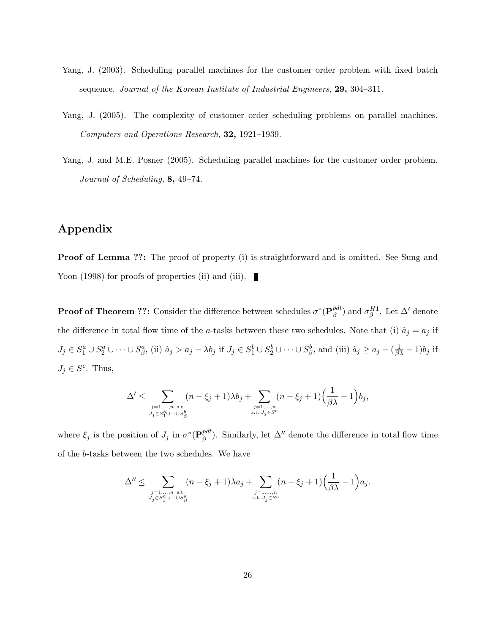- Yang, J. (2003). Scheduling parallel machines for the customer order problem with fixed batch sequence. Journal of the Korean Institute of Industrial Engineers, 29, 304–311.
- Yang, J. (2005). The complexity of customer order scheduling problems on parallel machines. Computers and Operations Research, 32, 1921–1939.
- Yang, J. and M.E. Posner (2005). Scheduling parallel machines for the customer order problem. Journal of Scheduling, 8, 49–74.

## Appendix

**Proof of Lemma ??:** The proof of property (i) is straightforward and is omitted. See Sung and Yoon (1998) for proofs of properties (ii) and (iii).

**Proof of Theorem ??:** Consider the difference between schedules  $\sigma^*(\mathbf{P}_{\beta}^{pdt})$  $\mathcal{P}_{\beta}^{d t}$ ) and  $\sigma_{\beta}^{H1}$ . Let  $\Delta'$  denote the difference in total flow time of the a-tasks between these two schedules. Note that (i)  $\hat{a}_j = a_j$  if  $J_j \in S_1^a \cup S_2^a \cup \cdots \cup S_\beta^a$ , (ii)  $\hat{a}_j > a_j - \lambda b_j$  if  $J_j \in S_1^b \cup S_2^b \cup \cdots \cup S_\beta^b$ , and (iii)  $\hat{a}_j \ge a_j - (\frac{1}{\beta \lambda} - 1)b_j$  if  $J_j \in S^c$ . Thus,

$$
\Delta' \leq \sum_{\substack{j=1,\ldots,n \ s.t. \\ J_j \in S_1^b \cup \cdots \cup S_{\beta}^b}} (n-\xi_j+1) \lambda b_j + \sum_{\substack{j=1,\ldots,n \\ \ s.t. \ J_j \in S^c}} (n-\xi_j+1) \Big( \frac{1}{\beta \lambda} - 1 \Big) b_j,
$$

where  $\xi_j$  is the position of  $J_j$  in  $\sigma^*({\bf P}_{\beta}^{pdt})$  $\mathcal{P}_{\beta}^{at}$ ). Similarly, let  $\Delta''$  denote the difference in total flow time of the b-tasks between the two schedules. We have

$$
\Delta'' \leq \sum_{\substack{j=1,\ldots,n \ s.t. \\ J_j \in S_1^a \cup \cdots \cup S_\beta^a}} (n-\xi_j+1) \lambda a_j + \sum_{\substack{j=1,\ldots,n \\ \ s.t. \ J_j \in S^c}} (n-\xi_j+1) \Big( \frac{1}{\beta \lambda} - 1 \Big) a_j.
$$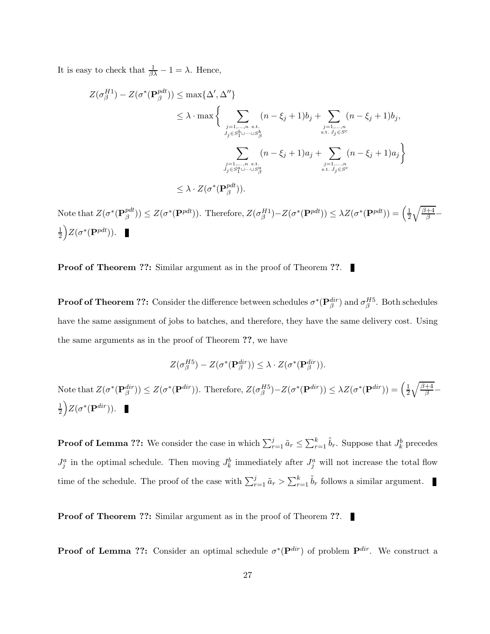It is easy to check that  $\frac{1}{\beta\lambda} - 1 = \lambda$ . Hence,

$$
Z(\sigma_{\beta}^{H1}) - Z(\sigma^*(\mathbf{P}_{\beta}^{pdt})) \le \max\{\Delta', \Delta''\}
$$
  
\n
$$
\le \lambda \cdot \max \left\{ \sum_{\substack{j=1,\dots,n \text{ s.t.} \\ J_j \in S_1^b \cup \dots \cup S_{\beta}^b}} (n - \xi_j + 1)b_j + \sum_{\substack{j=1,\dots,n \text{ s.t.} \\ \text{s.t. } J_j \in S^c}} (n - \xi_j + 1)b_j, \sum_{\substack{j=1,\dots,n \text{ s.t.} \\ \text{s.t. } J_j \in S^c}} (n - \xi_j + 1)a_j + \sum_{\substack{j=1,\dots,n \text{ s.t.} \\ \text{s.t. } J_j \in S^c}} (n - \xi_j + 1)a_j \right\}
$$
  
\n
$$
\le \lambda \cdot Z(\sigma^*(\mathbf{P}_{\beta}^{pdt})).
$$

Note that  $Z(\sigma^*(\mathbf{P}_{\beta}^{pdt})$  $\mathcal{L}^{pdt}(\beta^{pdt})$   $\leq Z(\sigma^*(\mathbf{P}^{pdt}))$ . Therefore,  $Z(\sigma_{\beta}^{H1}) - Z(\sigma^*(\mathbf{P}^{pdt})) \leq \lambda Z(\sigma^*(\mathbf{P}^{pdt})) = \left(\frac{1}{2}\sqrt{\frac{\beta+4}{\beta}} - \frac{1}{\beta}\right)$  $\frac{1}{2}\Big)Z(\sigma^*(\mathbf{P}^{pdt})).$ 

**Proof of Theorem ??:** Similar argument as in the proof of Theorem ??.

**Proof of Theorem ??:** Consider the difference between schedules  $\sigma^*(\mathbf{P}_{\beta}^{dir})$  and  $\sigma_{\beta}^{H5}$ . Both schedules have the same assignment of jobs to batches, and therefore, they have the same delivery cost. Using the same arguments as in the proof of Theorem ??, we have

$$
Z(\sigma_{\beta}^{H5}) - Z(\sigma^*(\mathbf{P}_{\beta}^{dir})) \leq \lambda \cdot Z(\sigma^*(\mathbf{P}_{\beta}^{dir})).
$$

Note that  $Z(\sigma^*(\mathbf{P}_{\beta}^{dir})) \leq Z(\sigma^*(\mathbf{P}^{dir}))$ . Therefore,  $Z(\sigma_{\beta}^{H5}) - Z(\sigma^*(\mathbf{P}^{dir})) \leq \lambda Z(\sigma^*(\mathbf{P}^{dir})) = \left(\frac{1}{2}\sqrt{\frac{\beta+4}{\beta}} - \frac{1}{\beta}\right)$  $\frac{1}{2}\Big)Z(\sigma^*(\mathbf{P}^{dir})).$ 

**Proof of Lemma ??:** We consider the case in which  $\sum_{r=1}^{j} \tilde{a}_r \leq \sum_{r=1}^{k} \tilde{b}_r$ . Suppose that  $J_k^b$  precedes  $J_j^a$  in the optimal schedule. Then moving  $J_k^b$  immediately after  $J_j^a$  will not increase the total flow time of the schedule. The proof of the case with  $\sum_{r=1}^{j} \tilde{a}_r > \sum_{r=1}^{k} \tilde{b}_r$  follows a similar argument.

**Proof of Theorem ??:** Similar argument as in the proof of Theorem ??.

**Proof of Lemma ??:** Consider an optimal schedule  $\sigma^*(\mathbf{P}^{dir})$  of problem  $\mathbf{P}^{dir}$ . We construct a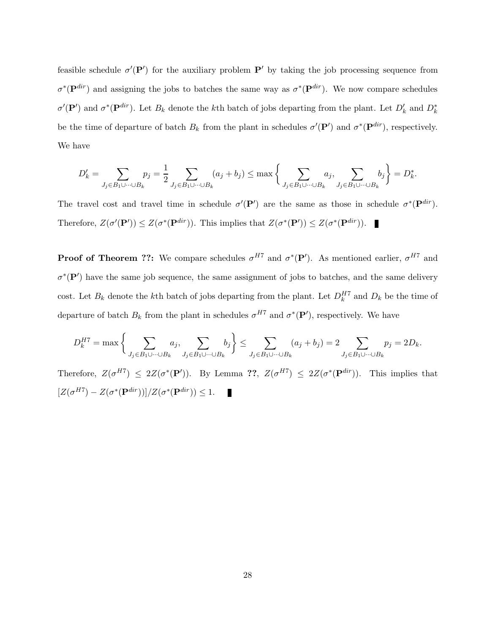feasible schedule  $\sigma'(\mathbf{P}')$  for the auxiliary problem  $\mathbf{P}'$  by taking the job processing sequence from  $\sigma^*(\mathbf{P}^{dir})$  and assigning the jobs to batches the same way as  $\sigma^*(\mathbf{P}^{dir})$ . We now compare schedules  $\sigma'(\mathbf{P}')$  and  $\sigma^*(\mathbf{P}^{dir})$ . Let  $B_k$  denote the kth batch of jobs departing from the plant. Let  $D'_k$  and  $D_k^*$ be the time of departure of batch  $B_k$  from the plant in schedules  $\sigma'(\mathbf{P}')$  and  $\sigma^*(\mathbf{P}^{dir})$ , respectively. We have

$$
D'_k = \sum_{J_j \in B_1 \cup \dots \cup B_k} p_j = \frac{1}{2} \sum_{J_j \in B_1 \cup \dots \cup B_k} (a_j + b_j) \le \max \left\{ \sum_{J_j \in B_1 \cup \dots \cup B_k} a_j, \sum_{J_j \in B_1 \cup \dots \cup B_k} b_j \right\} = D^*_k.
$$

The travel cost and travel time in schedule  $\sigma'(\mathbf{P}')$  are the same as those in schedule  $\sigma^*(\mathbf{P}^{dir})$ . Therefore,  $Z(\sigma'(\mathbf{P}')) \leq Z(\sigma^*(\mathbf{P}^{dir}))$ . This implies that  $Z(\sigma^*(\mathbf{P}')) \leq Z(\sigma^*(\mathbf{P}^{dir}))$ .

**Proof of Theorem ??:** We compare schedules  $\sigma^{H7}$  and  $\sigma^*(P')$ . As mentioned earlier,  $\sigma^{H7}$  and  $\sigma^*(P')$  have the same job sequence, the same assignment of jobs to batches, and the same delivery cost. Let  $B_k$  denote the kth batch of jobs departing from the plant. Let  $D_k^{H7}$  and  $D_k$  be the time of departure of batch  $B_k$  from the plant in schedules  $\sigma^{H7}$  and  $\sigma^*(P')$ , respectively. We have

$$
D_k^{H7} = \max\left\{\sum_{J_j \in B_1 \cup \dots \cup B_k} a_j, \sum_{J_j \in B_1 \cup \dots \cup B_k} b_j\right\} \le \sum_{J_j \in B_1 \cup \dots \cup B_k} (a_j + b_j) = 2 \sum_{J_j \in B_1 \cup \dots \cup B_k} p_j = 2D_k.
$$

Therefore,  $Z(\sigma^{H7}) \leq 2Z(\sigma^*(P'))$ . By Lemma ??,  $Z(\sigma^{H7}) \leq 2Z(\sigma^*(P^{dir}))$ . This implies that  $[Z(\sigma^{H7}) - Z(\sigma^*(\mathbf{P}^{dir}))]/Z(\sigma^*(\mathbf{P}^{dir})) \leq 1.$ Γ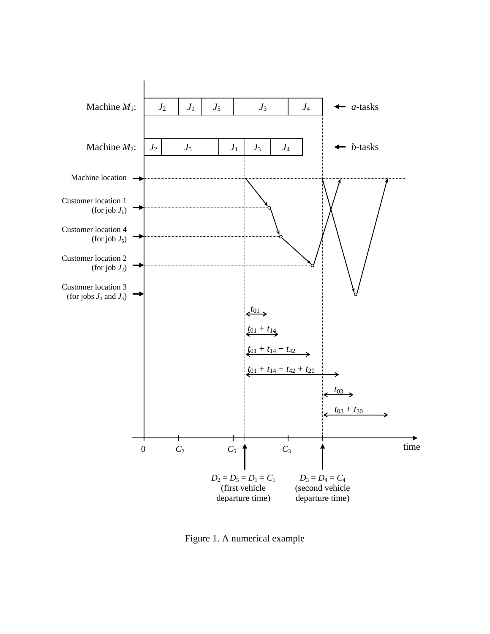

Figure 1. A numerical example